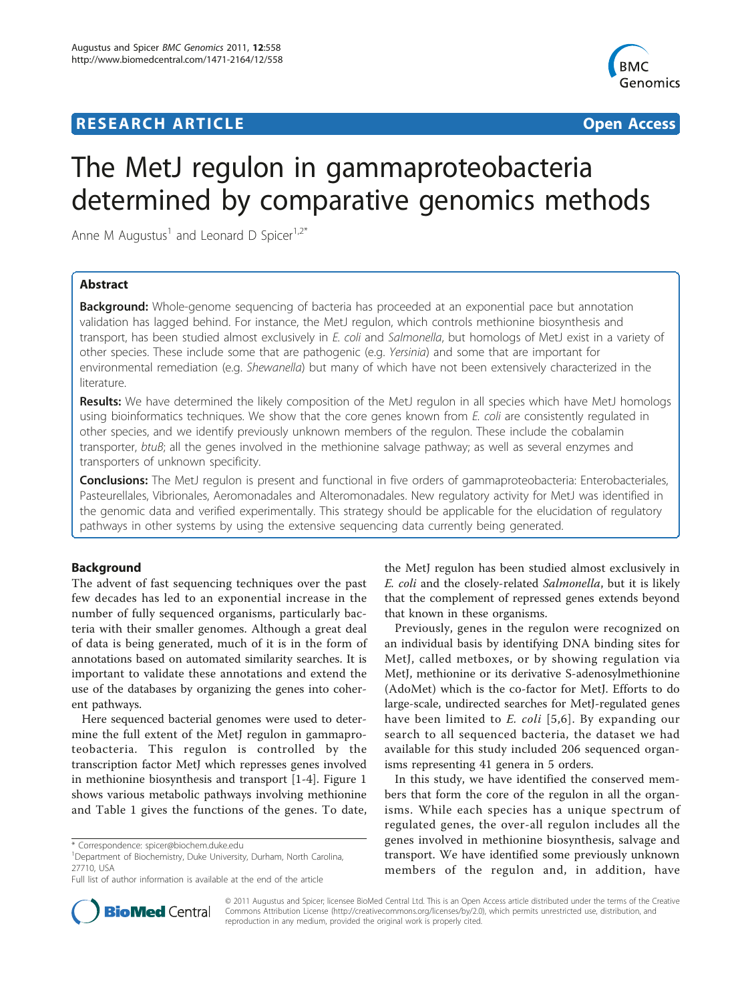## **RESEARCH ARTICLE Example 2014 CONSUMING ACCESS**



# The MetJ regulon in gammaproteobacteria determined by comparative genomics methods

Anne M Augustus<sup>1</sup> and Leonard D Spicer<sup>1,2\*</sup>

## Abstract

**Background:** Whole-genome sequencing of bacteria has proceeded at an exponential pace but annotation validation has lagged behind. For instance, the MetJ regulon, which controls methionine biosynthesis and transport, has been studied almost exclusively in E. coli and Salmonella, but homologs of MetJ exist in a variety of other species. These include some that are pathogenic (e.g. Yersinia) and some that are important for environmental remediation (e.g. Shewanella) but many of which have not been extensively characterized in the literature.

Results: We have determined the likely composition of the MetJ regulon in all species which have MetJ homologs using bioinformatics techniques. We show that the core genes known from E. coli are consistently regulated in other species, and we identify previously unknown members of the regulon. These include the cobalamin transporter, btuB; all the genes involved in the methionine salvage pathway; as well as several enzymes and transporters of unknown specificity.

Conclusions: The MetJ regulon is present and functional in five orders of gammaproteobacteria: Enterobacteriales, Pasteurellales, Vibrionales, Aeromonadales and Alteromonadales. New regulatory activity for MetJ was identified in the genomic data and verified experimentally. This strategy should be applicable for the elucidation of regulatory pathways in other systems by using the extensive sequencing data currently being generated.

## Background

The advent of fast sequencing techniques over the past few decades has led to an exponential increase in the number of fully sequenced organisms, particularly bacteria with their smaller genomes. Although a great deal of data is being generated, much of it is in the form of annotations based on automated similarity searches. It is important to validate these annotations and extend the use of the databases by organizing the genes into coherent pathways.

Here sequenced bacterial genomes were used to determine the full extent of the MetJ regulon in gammaproteobacteria. This regulon is controlled by the transcription factor MetJ which represses genes involved in methionine biosynthesis and transport [\[1](#page-16-0)-[4\]](#page-16-0). Figure [1](#page-1-0) shows various metabolic pathways involving methionine and Table [1](#page-2-0) gives the functions of the genes. To date,

the MetJ regulon has been studied almost exclusively in E. coli and the closely-related Salmonella, but it is likely that the complement of repressed genes extends beyond that known in these organisms.

Previously, genes in the regulon were recognized on an individual basis by identifying DNA binding sites for MetJ, called metboxes, or by showing regulation via MetJ, methionine or its derivative S-adenosylmethionine (AdoMet) which is the co-factor for MetJ. Efforts to do large-scale, undirected searches for MetJ-regulated genes have been limited to E. coli [\[5,6\]](#page-16-0). By expanding our search to all sequenced bacteria, the dataset we had available for this study included 206 sequenced organisms representing 41 genera in 5 orders.

In this study, we have identified the conserved members that form the core of the regulon in all the organisms. While each species has a unique spectrum of regulated genes, the over-all regulon includes all the genes involved in methionine biosynthesis, salvage and transport. We have identified some previously unknown members of the regulon and, in addition, have



© 2011 Augustus and Spicer; licensee BioMed Central Ltd. This is an Open Access article distributed under the terms of the Creative Commons Attribution License [\(http://creativecommons.org/licenses/by/2.0](http://creativecommons.org/licenses/by/2.0)), which permits unrestricted use, distribution, and reproduction in any medium, provided the original work is properly cited.

<sup>\*</sup> Correspondence: [spicer@biochem.duke.edu](mailto:spicer@biochem.duke.edu)

<sup>&</sup>lt;sup>1</sup> Department of Biochemistry, Duke University, Durham, North Carolina, 27710, USA

Full list of author information is available at the end of the article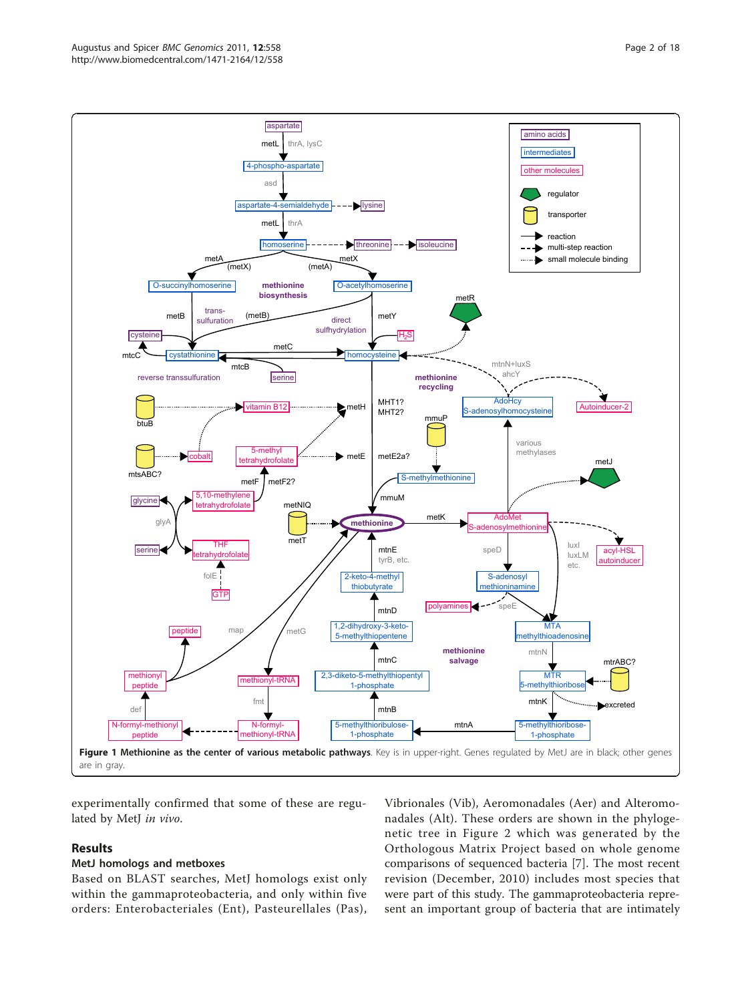<span id="page-1-0"></span>

experimentally confirmed that some of these are regulated by MetJ in vivo.

## Results

#### MetJ homologs and metboxes

Based on BLAST searches, MetJ homologs exist only within the gammaproteobacteria, and only within five orders: Enterobacteriales (Ent), Pasteurellales (Pas),

Vibrionales (Vib), Aeromonadales (Aer) and Alteromonadales (Alt). These orders are shown in the phylogenetic tree in Figure [2](#page-3-0) which was generated by the Orthologous Matrix Project based on whole genome comparisons of sequenced bacteria [\[7\]](#page-16-0). The most recent revision (December, 2010) includes most species that were part of this study. The gammaproteobacteria represent an important group of bacteria that are intimately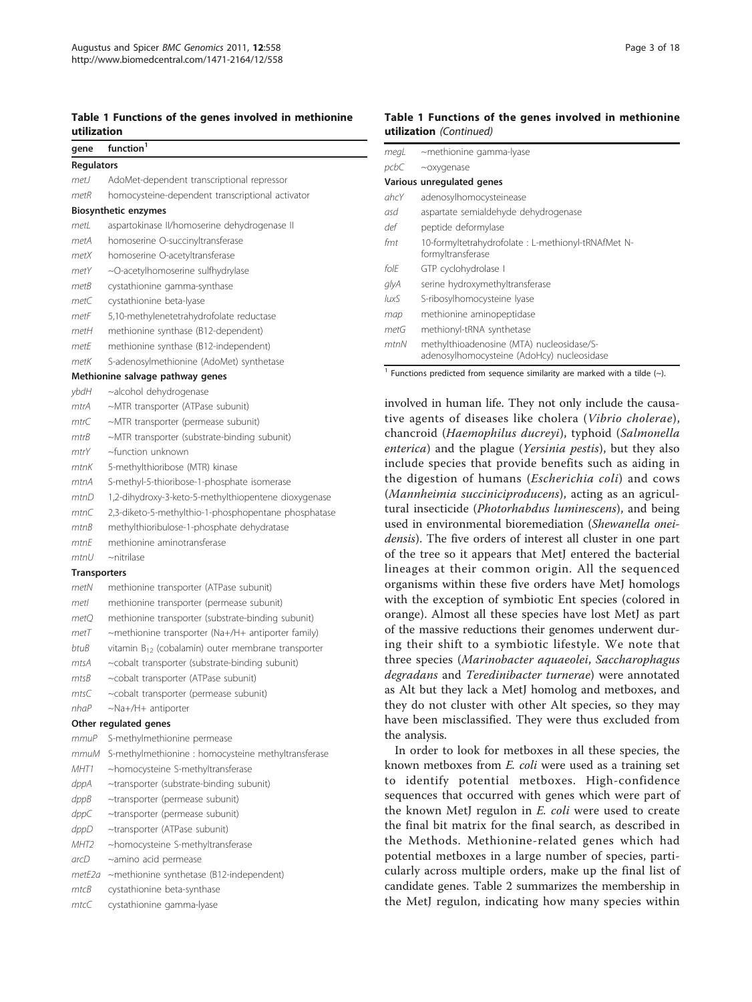<span id="page-2-0"></span>Table 1 Functions of the genes involved in methionine utilization

| gene                     | function <sup>1</sup>                                            |
|--------------------------|------------------------------------------------------------------|
| Regulators               |                                                                  |
| metJ                     | AdoMet-dependent transcriptional repressor                       |
| metR                     | homocysteine-dependent transcriptional activator                 |
|                          | <b>Biosynthetic enzymes</b>                                      |
| metL                     | aspartokinase II/homoserine dehydrogenase II                     |
| metA                     | homoserine O-succinyltransferase                                 |
| metX                     | homoserine O-acetyltransferase                                   |
| metY                     | ~O-acetylhomoserine sulfhydrylase                                |
| metB                     | cystathionine gamma-synthase                                     |
| metC                     | cystathionine beta-lyase                                         |
| metF                     | 5,10-methylenetetrahydrofolate reductase                         |
| metH                     | methionine synthase (B12-dependent)                              |
| metE                     | methionine synthase (B12-independent)                            |
| metK                     | S-adenosylmethionine (AdoMet) synthetase                         |
|                          | Methionine salvage pathway genes                                 |
| ybdH                     | ~alcohol dehydrogenase                                           |
| mtrA                     | ~MTR transporter (ATPase subunit)                                |
| mtrC                     | ~MTR transporter (permease subunit)                              |
| mtrB                     | ~MTR transporter (substrate-binding subunit)                     |
| mtrY                     | $\sim$ function unknown                                          |
| mtnK                     | 5-methylthioribose (MTR) kinase                                  |
| mtnA                     | S-methyl-5-thioribose-1-phosphate isomerase                      |
| mtnD                     | 1,2-dihydroxy-3-keto-5-methylthiopentene dioxygenase             |
| mtnC                     | 2,3-diketo-5-methylthio-1-phosphopentane phosphatase             |
| mtnB                     | methylthioribulose-1-phosphate dehydratase                       |
| mtnE                     | methionine aminotransferase                                      |
| mtnU                     | $\sim$ nitrilase                                                 |
| <b>Transporters</b>      |                                                                  |
| metN                     | methionine transporter (ATPase subunit)                          |
| metl                     | methionine transporter (permease subunit)                        |
| metQ                     | methionine transporter (substrate-binding subunit)               |
| metT                     | ~methionine transporter (Na+/H+ antiporter family)               |
| btuB                     | vitamin B <sub>12</sub> (cobalamin) outer membrane transporter   |
| mtsA                     | ~cobalt transporter (substrate-binding subunit)                  |
| mtsB                     | ~cobalt transporter (ATPase subunit)                             |
| $m$ tsC                  | ~cobalt transporter (permease subunit)                           |
| nhaP                     | $~\sim$ Na+/H+ antiporter                                        |
|                          | Other regulated genes                                            |
| mmuP                     | S-methylmethionine permease                                      |
| mmuM                     | S-methylmethionine : homocysteine methyltransferase              |
| MHT1                     | ~homocysteine S-methyltransferase                                |
| dppA                     | ~transporter (substrate-binding subunit)                         |
| dppB<br>dppC             | ~transporter (permease subunit)                                  |
|                          | ~transporter (permease subunit)<br>~transporter (ATPase subunit) |
| dppD                     |                                                                  |
| MHT <sub>2</sub><br>arcD | ~homocysteine S-methyltransferase<br>~amino acid permease        |
| metE2a                   | ~methionine synthetase (B12-independent)                         |
| mtcB                     | cystathionine beta-synthase                                      |
| $m$ tc $C$               | cystathionine gamma-lyase                                        |
|                          |                                                                  |

## Table 1 Functions of the genes involved in methionine utilization (Continued)

| megL        | ~methionine gamma-lyase                                                                 |
|-------------|-----------------------------------------------------------------------------------------|
| pcbC        | ~oxygenase                                                                              |
|             | Various unregulated genes                                                               |
| ahcY        | adenosylhomocysteinease                                                                 |
| asd         | aspartate semialdehyde dehydrogenase                                                    |
| def         | peptide deformylase                                                                     |
| fmt         | 10-formyltetrahydrofolate: L-methionyl-tRNAfMet N-<br>formyltransferase                 |
| $f \circ F$ | GTP cyclohydrolase I                                                                    |
| glyA        | serine hydroxymethyltransferase                                                         |
| luxS        | S-ribosylhomocysteine lyase                                                             |
| map         | methionine aminopeptidase                                                               |
| metG        | methionyl-tRNA synthetase                                                               |
| mtnN        | methylthioadenosine (MTA) nucleosidase/S-<br>adenosylhomocysteine (AdoHcy) nucleosidase |
|             |                                                                                         |

<sup>1</sup> Functions predicted from sequence similarity are marked with a tilde  $(\sim)$ .

involved in human life. They not only include the causative agents of diseases like cholera (Vibrio cholerae), chancroid (Haemophilus ducreyi), typhoid (Salmonella enterica) and the plague (Yersinia pestis), but they also include species that provide benefits such as aiding in the digestion of humans (Escherichia coli) and cows (Mannheimia succiniciproducens), acting as an agricultural insecticide (Photorhabdus luminescens), and being used in environmental bioremediation (Shewanella oneidensis). The five orders of interest all cluster in one part of the tree so it appears that MetJ entered the bacterial lineages at their common origin. All the sequenced organisms within these five orders have MetJ homologs with the exception of symbiotic Ent species (colored in orange). Almost all these species have lost MetJ as part of the massive reductions their genomes underwent during their shift to a symbiotic lifestyle. We note that three species (Marinobacter aquaeolei, Saccharophagus degradans and Teredinibacter turnerae) were annotated as Alt but they lack a MetJ homolog and metboxes, and they do not cluster with other Alt species, so they may have been misclassified. They were thus excluded from the analysis.

In order to look for metboxes in all these species, the known metboxes from E. coli were used as a training set to identify potential metboxes. High-confidence sequences that occurred with genes which were part of the known MetJ regulon in E. coli were used to create the final bit matrix for the final search, as described in the Methods. Methionine-related genes which had potential metboxes in a large number of species, particularly across multiple orders, make up the final list of candidate genes. Table [2](#page-4-0) summarizes the membership in the MetJ regulon, indicating how many species within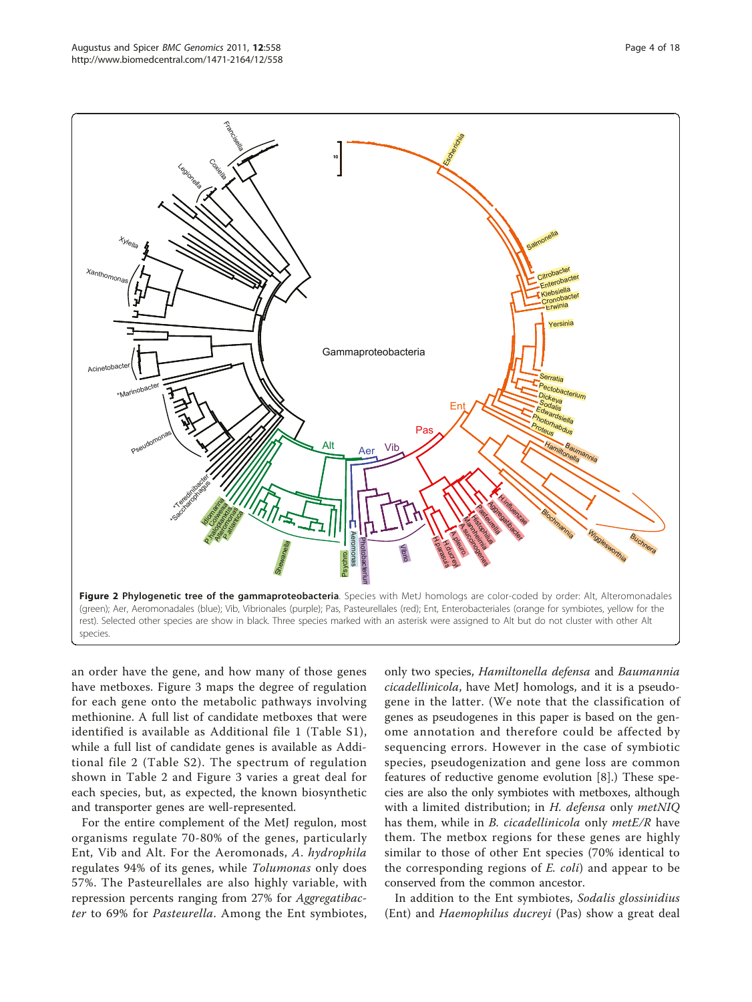<span id="page-3-0"></span>

an order have the gene, and how many of those genes have metboxes. Figure [3](#page-5-0) maps the degree of regulation for each gene onto the metabolic pathways involving methionine. A full list of candidate metboxes that were identified is available as Additional file [1](#page-15-0) (Table S1), while a full list of candidate genes is available as Additional file [2](#page-15-0) (Table S2). The spectrum of regulation shown in Table [2](#page-4-0) and Figure [3](#page-5-0) varies a great deal for each species, but, as expected, the known biosynthetic and transporter genes are well-represented.

For the entire complement of the MetJ regulon, most organisms regulate 70-80% of the genes, particularly Ent, Vib and Alt. For the Aeromonads, A. hydrophila regulates 94% of its genes, while Tolumonas only does 57%. The Pasteurellales are also highly variable, with repression percents ranging from 27% for Aggregatibacter to 69% for Pasteurella. Among the Ent symbiotes,

only two species, Hamiltonella defensa and Baumannia cicadellinicola, have MetJ homologs, and it is a pseudogene in the latter. (We note that the classification of genes as pseudogenes in this paper is based on the genome annotation and therefore could be affected by sequencing errors. However in the case of symbiotic species, pseudogenization and gene loss are common features of reductive genome evolution [[8\]](#page-16-0).) These species are also the only symbiotes with metboxes, although with a limited distribution; in H. defensa only metNIQ has them, while in B. cicadellinicola only metE/R have them. The metbox regions for these genes are highly similar to those of other Ent species (70% identical to the corresponding regions of E. coli) and appear to be conserved from the common ancestor.

In addition to the Ent symbiotes, Sodalis glossinidius (Ent) and Haemophilus ducreyi (Pas) show a great deal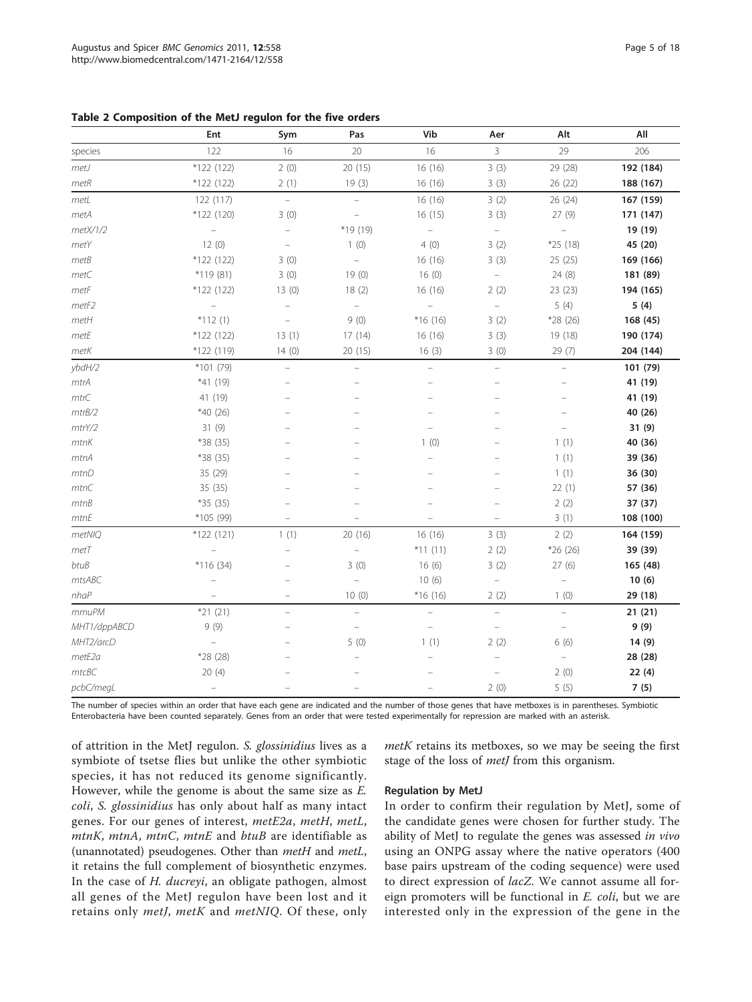|              | Ent                 | Sym                      | Pas                      | Vib                      | Aer                      | Alt                 | All       |
|--------------|---------------------|--------------------------|--------------------------|--------------------------|--------------------------|---------------------|-----------|
| species      | 122                 | 16                       | 20                       | 16                       | 3                        | 29                  | 206       |
| metJ         | *122 (122)          | 2(0)                     | 20 (15)                  | 16 (16)                  | 3(3)                     | 29 (28)             | 192 (184) |
| metR         | *122 (122)          | 2(1)                     | 19(3)                    | 16 (16)                  | 3(3)                     | 26 (22)             | 188 (167) |
| metL         | 122(117)            | $\equiv$                 | $\equiv$                 | 16(16)                   | 3(2)                     | 26 (24)             | 167 (159) |
| metA         | *122 (120)          | 3(0)                     | $\bar{ }$                | 16(15)                   | 3(3)                     | 27(9)               | 171 (147) |
| metX/1/2     | $\bar{\phantom{a}}$ |                          | *19 (19)                 | $\bar{ }$                | $\frac{1}{2}$            | ÷                   | 19 (19)   |
| metY         | 12(0)               | $\equiv$                 | 1(0)                     | 4(0)                     | 3(2)                     | $*25(18)$           | 45 (20)   |
| metB         | *122 (122)          | 3(0)                     | $\equiv$                 | 16(16)                   | 3(3)                     | 25 (25)             | 169 (166) |
| metC         | *119 (81)           | 3(0)                     | 19 (0)                   | 16(0)                    | $\equiv$                 | 24 (8)              | 181 (89)  |
| metF         | *122 (122)          | 13(0)                    | 18(2)                    | 16(16)                   | 2(2)                     | 23 (23)             | 194 (165) |
| metF2        | $\bar{ }$           | $\overline{\phantom{0}}$ | $\equiv$                 | ÷,                       | $\equiv$                 | 5(4)                | 5(4)      |
| metH         | $*112(1)$           | $\overline{\phantom{a}}$ | 9(0)                     | $*16(16)$                | 3(2)                     | *28 (26)            | 168 (45)  |
| metE         | *122 (122)          | 13(1)                    | 17 (14)                  | 16 (16)                  | 3(3)                     | 19 (18)             | 190 (174) |
| metK         | *122 (119)          | 14(0)                    | 20 (15)                  | 16(3)                    | 3(0)                     | 29(7)               | 204 (144) |
| ybdH/2       | $*101(79)$          | $\equiv$                 | $\overline{a}$           | $\overline{a}$           | $\overline{a}$           | $\overline{a}$      | 101 (79)  |
| mtrA         | *41 (19)            | $\frac{1}{2}$            | $\overline{\phantom{a}}$ | $\overline{\phantom{a}}$ | $\overline{\phantom{a}}$ | $\equiv$            | 41 (19)   |
| mtrC         | 41 (19)             |                          |                          |                          |                          |                     | 41 (19)   |
| mtrB/2       | *40 (26)            |                          |                          |                          |                          |                     | 40 (26)   |
| mtrY/2       | 31(9)               |                          |                          |                          |                          |                     | 31 (9)    |
| $m$ tn $K$   | *38 (35)            |                          |                          | 1(0)                     |                          | 1(1)                | 40 (36)   |
| mtnA         | *38 (35)            |                          |                          |                          |                          | 1(1)                | 39 (36)   |
| mtnD         | 35 (29)             |                          |                          |                          |                          | 1(1)                | 36 (30)   |
| $mtnC$       | 35 (35)             |                          |                          |                          |                          | 22(1)               | 57 (36)   |
| mtnB         | $*35(35)$           |                          |                          |                          |                          | 2(2)                | 37 (37)   |
| $m$ tn $E$   | *105 (99)           |                          |                          |                          | ÷                        | 3(1)                | 108 (100) |
| metNIQ       | *122 (121)          | 1(1)                     | 20(16)                   | 16(16)                   | 3(3)                     | 2(2)                | 164 (159) |
| metT         | $\equiv$            |                          | $\equiv$                 | $*11(11)$                | 2(2)                     | *26 (26)            | 39 (39)   |
| btuB         | $*116(34)$          |                          | 3(0)                     | 16(6)                    | 3(2)                     | 27(6)               | 165 (48)  |
| mtsABC       | $\qquad \qquad -$   |                          | $\equiv$                 | 10(6)                    | $\equiv$                 | $\bar{a}$           | 10(6)     |
| nhaP         |                     | $\qquad \qquad -$        | 10(0)                    | *16 (16)                 | 2(2)                     | 1(0)                | 29 (18)   |
| mmuPM        | *21 (21)            | $\overline{\phantom{0}}$ | $\equiv$                 | $\overline{a}$           | $\equiv$                 | $\bar{ }$           | 21(21)    |
| MHT1/dppABCD | 9(9)                |                          | $\equiv$                 | ÷,                       | $\overline{\phantom{a}}$ | $\bar{\phantom{a}}$ | 9(9)      |
| MHT2/arcD    | $\bar{a}$           |                          | 5(0)                     | 1(1)                     | 2(2)                     | 6(6)                | 14 (9)    |
| metE2a       | *28 (28)            |                          | L.                       |                          | L.                       | $\frac{1}{2}$       | 28 (28)   |
| $m$ tc $BC$  | 20(4)               |                          |                          |                          |                          | 2(0)                | 22(4)     |
| pcbC/megL    | $\equiv$            |                          | ÷                        |                          | 2(0)                     | 5(5)                | 7(5)      |

<span id="page-4-0"></span>

|  |  | Table 2 Composition of the MetJ regulon for the five orders |  |  |  |  |  |  |  |  |
|--|--|-------------------------------------------------------------|--|--|--|--|--|--|--|--|
|--|--|-------------------------------------------------------------|--|--|--|--|--|--|--|--|

The number of species within an order that have each gene are indicated and the number of those genes that have metboxes is in parentheses. Symbiotic Enterobacteria have been counted separately. Genes from an order that were tested experimentally for repression are marked with an asterisk.

of attrition in the MetJ regulon. S. glossinidius lives as a symbiote of tsetse flies but unlike the other symbiotic species, it has not reduced its genome significantly. However, while the genome is about the same size as E. coli, S. glossinidius has only about half as many intact genes. For our genes of interest, metE2a, metH, metL, mtnK, mtnA, mtnC, mtnE and btuB are identifiable as (unannotated) pseudogenes. Other than metH and metL, it retains the full complement of biosynthetic enzymes. In the case of H. ducreyi, an obligate pathogen, almost all genes of the MetJ regulon have been lost and it retains only metJ, metK and metNIQ. Of these, only metK retains its metboxes, so we may be seeing the first stage of the loss of *metJ* from this organism.

#### Regulation by MetJ

In order to confirm their regulation by MetJ, some of the candidate genes were chosen for further study. The ability of MetJ to regulate the genes was assessed in vivo using an ONPG assay where the native operators (400 base pairs upstream of the coding sequence) were used to direct expression of lacZ. We cannot assume all foreign promoters will be functional in E. coli, but we are interested only in the expression of the gene in the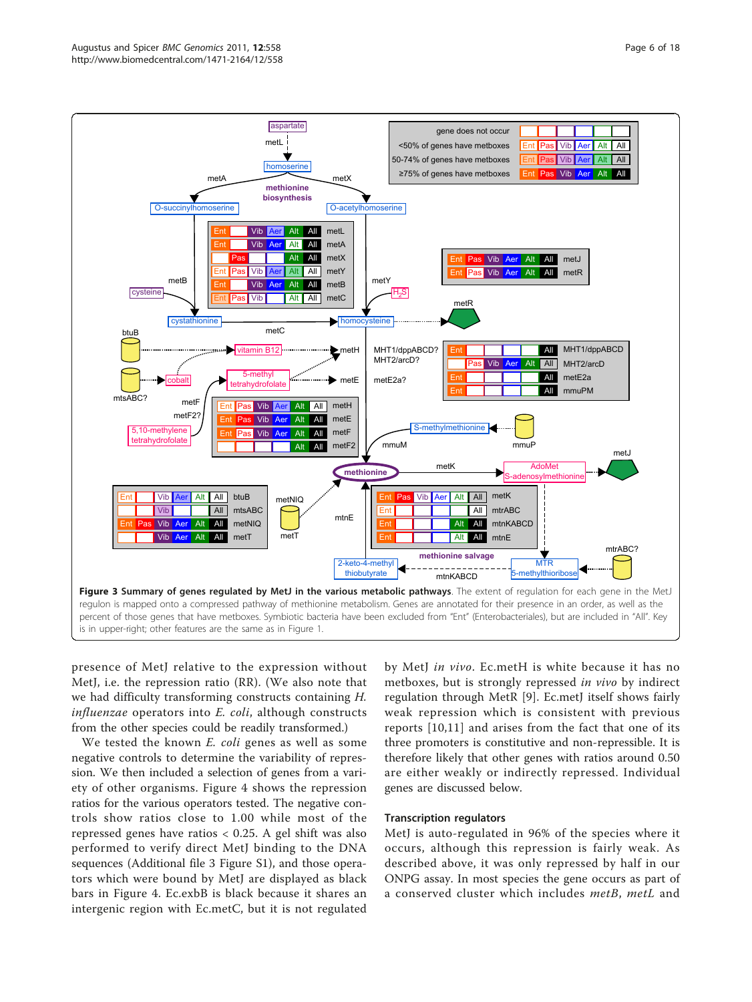<span id="page-5-0"></span>

presence of MetJ relative to the expression without MetJ, i.e. the repression ratio (RR). (We also note that we had difficulty transforming constructs containing H.  $influenzae$  operators into  $E.$   $colli$ , although constructs from the other species could be readily transformed.)

We tested the known E. coli genes as well as some negative controls to determine the variability of repression. We then included a selection of genes from a variety of other organisms. Figure [4](#page-6-0) shows the repression ratios for the various operators tested. The negative controls show ratios close to 1.00 while most of the repressed genes have ratios < 0.25. A gel shift was also performed to verify direct MetJ binding to the DNA sequences (Additional file [3](#page-15-0) Figure S1), and those operators which were bound by MetJ are displayed as black bars in Figure [4](#page-6-0). Ec.exbB is black because it shares an intergenic region with Ec.metC, but it is not regulated by MetJ in vivo. Ec.metH is white because it has no metboxes, but is strongly repressed in vivo by indirect regulation through MetR [[9\]](#page-16-0). Ec.metJ itself shows fairly weak repression which is consistent with previous reports [[10,11\]](#page-16-0) and arises from the fact that one of its three promoters is constitutive and non-repressible. It is therefore likely that other genes with ratios around 0.50 are either weakly or indirectly repressed. Individual genes are discussed below.

## Transcription regulators

MetJ is auto-regulated in 96% of the species where it occurs, although this repression is fairly weak. As described above, it was only repressed by half in our ONPG assay. In most species the gene occurs as part of a conserved cluster which includes metB, metL and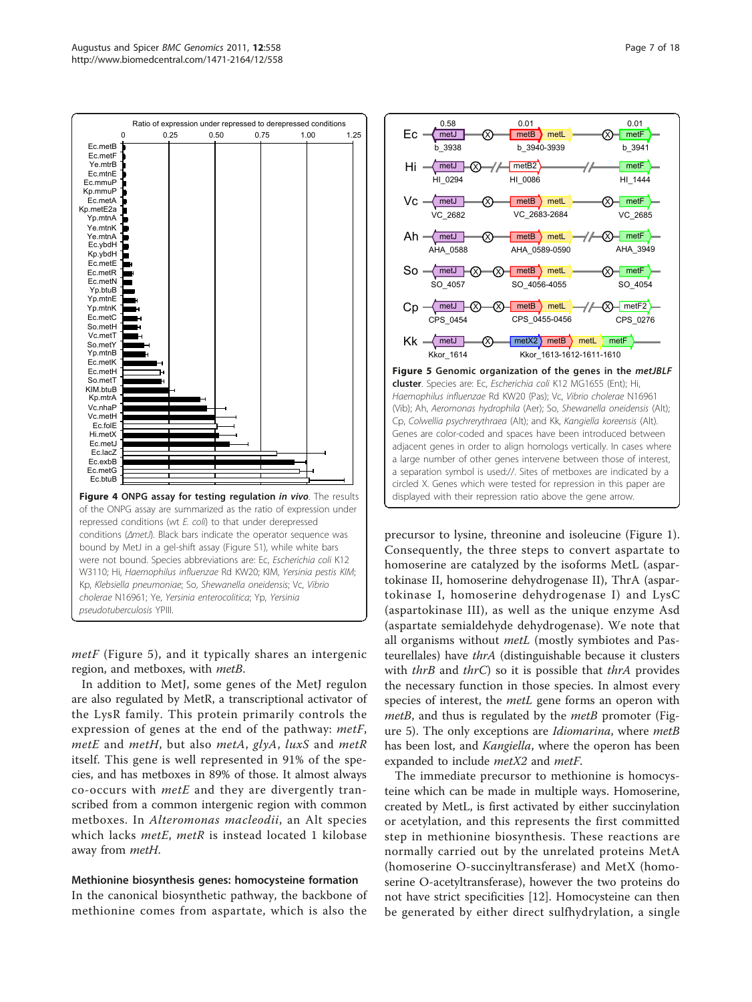<span id="page-6-0"></span>

 $metF$  (Figure 5), and it typically shares an intergenic region, and metboxes, with metB.

In addition to MetJ, some genes of the MetJ regulon are also regulated by MetR, a transcriptional activator of the LysR family. This protein primarily controls the expression of genes at the end of the pathway: metF, metE and metH, but also metA, glyA, luxS and metR itself. This gene is well represented in 91% of the species, and has metboxes in 89% of those. It almost always co-occurs with metE and they are divergently transcribed from a common intergenic region with common metboxes. In Alteromonas macleodii, an Alt species which lacks *metE*, *metR* is instead located 1 kilobase away from metH.

#### Methionine biosynthesis genes: homocysteine formation

In the canonical biosynthetic pathway, the backbone of methionine comes from aspartate, which is also the



precursor to lysine, threonine and isoleucine (Figure [1](#page-1-0)). Consequently, the three steps to convert aspartate to homoserine are catalyzed by the isoforms MetL (aspartokinase II, homoserine dehydrogenase II), ThrA (aspartokinase I, homoserine dehydrogenase I) and LysC (aspartokinase III), as well as the unique enzyme Asd (aspartate semialdehyde dehydrogenase). We note that all organisms without *metL* (mostly symbiotes and Pasteurellales) have thrA (distinguishable because it clusters with *thrB* and *thrC*) so it is possible that *thrA* provides the necessary function in those species. In almost every species of interest, the *metL* gene forms an operon with metB, and thus is regulated by the metB promoter (Figure 5). The only exceptions are Idiomarina, where metB has been lost, and Kangiella, where the operon has been expanded to include metX2 and metF.

The immediate precursor to methionine is homocysteine which can be made in multiple ways. Homoserine, created by MetL, is first activated by either succinylation or acetylation, and this represents the first committed step in methionine biosynthesis. These reactions are normally carried out by the unrelated proteins MetA (homoserine O-succinyltransferase) and MetX (homoserine O-acetyltransferase), however the two proteins do not have strict specificities [[12\]](#page-16-0). Homocysteine can then be generated by either direct sulfhydrylation, a single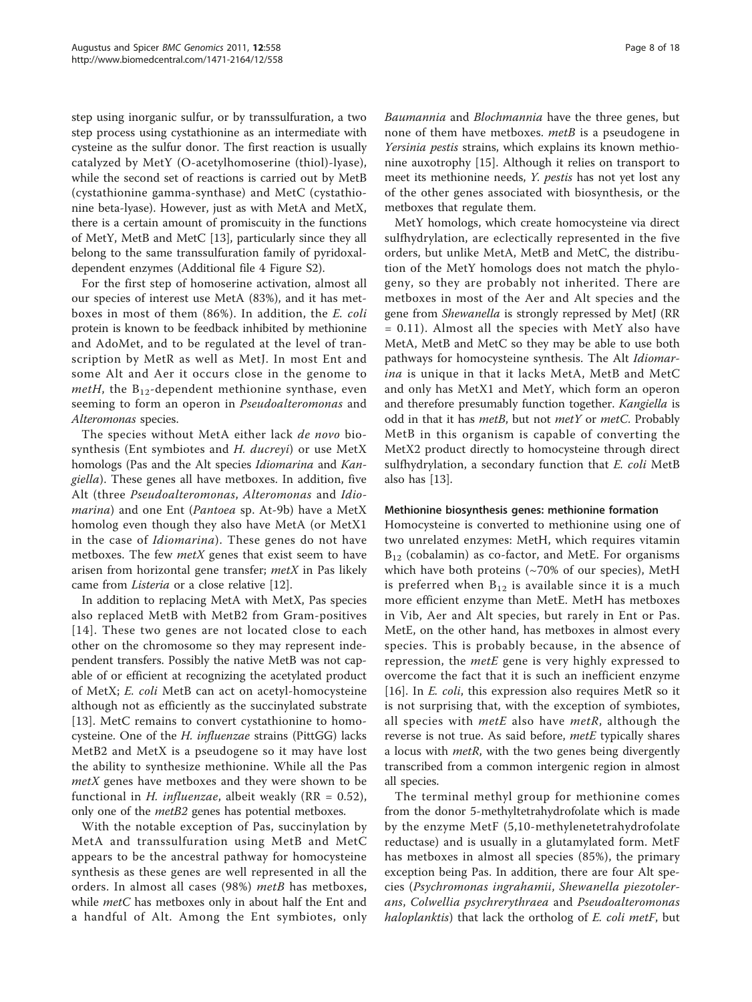step using inorganic sulfur, or by transsulfuration, a two step process using cystathionine as an intermediate with cysteine as the sulfur donor. The first reaction is usually catalyzed by MetY (O-acetylhomoserine (thiol)-lyase), while the second set of reactions is carried out by MetB (cystathionine gamma-synthase) and MetC (cystathionine beta-lyase). However, just as with MetA and MetX, there is a certain amount of promiscuity in the functions of MetY, MetB and MetC [\[13](#page-16-0)], particularly since they all belong to the same transsulfuration family of pyridoxaldependent enzymes (Additional file [4](#page-15-0) Figure S2).

For the first step of homoserine activation, almost all our species of interest use MetA (83%), and it has metboxes in most of them (86%). In addition, the E. coli protein is known to be feedback inhibited by methionine and AdoMet, and to be regulated at the level of transcription by MetR as well as MetJ. In most Ent and some Alt and Aer it occurs close in the genome to *metH*, the  $B_{12}$ -dependent methionine synthase, even seeming to form an operon in Pseudoalteromonas and Alteromonas species.

The species without MetA either lack de novo biosynthesis (Ent symbiotes and *H. ducreyi*) or use MetX homologs (Pas and the Alt species Idiomarina and Kangiella). These genes all have metboxes. In addition, five Alt (three Pseudoalteromonas, Alteromonas and Idiomarina) and one Ent (Pantoea sp. At-9b) have a MetX homolog even though they also have MetA (or MetX1 in the case of Idiomarina). These genes do not have metboxes. The few  $metX$  genes that exist seem to have arisen from horizontal gene transfer; metX in Pas likely came from Listeria or a close relative [[12](#page-16-0)].

In addition to replacing MetA with MetX, Pas species also replaced MetB with MetB2 from Gram-positives [[14\]](#page-16-0). These two genes are not located close to each other on the chromosome so they may represent independent transfers. Possibly the native MetB was not capable of or efficient at recognizing the acetylated product of MetX; E. coli MetB can act on acetyl-homocysteine although not as efficiently as the succinylated substrate [[13](#page-16-0)]. MetC remains to convert cystathionine to homocysteine. One of the H. influenzae strains (PittGG) lacks MetB2 and MetX is a pseudogene so it may have lost the ability to synthesize methionine. While all the Pas  $metX$  genes have metboxes and they were shown to be functional in H. influenzae, albeit weakly ( $RR = 0.52$ ), only one of the *metB2* genes has potential metboxes.

With the notable exception of Pas, succinylation by MetA and transsulfuration using MetB and MetC appears to be the ancestral pathway for homocysteine synthesis as these genes are well represented in all the orders. In almost all cases (98%) metB has metboxes, while *metC* has metboxes only in about half the Ent and a handful of Alt. Among the Ent symbiotes, only Baumannia and Blochmannia have the three genes, but none of them have metboxes. metB is a pseudogene in Yersinia pestis strains, which explains its known methionine auxotrophy [[15\]](#page-16-0). Although it relies on transport to meet its methionine needs, Y. pestis has not yet lost any of the other genes associated with biosynthesis, or the metboxes that regulate them.

MetY homologs, which create homocysteine via direct sulfhydrylation, are eclectically represented in the five orders, but unlike MetA, MetB and MetC, the distribution of the MetY homologs does not match the phylogeny, so they are probably not inherited. There are metboxes in most of the Aer and Alt species and the gene from Shewanella is strongly repressed by MetJ (RR  $= 0.11$ ). Almost all the species with MetY also have MetA, MetB and MetC so they may be able to use both pathways for homocysteine synthesis. The Alt Idiomarina is unique in that it lacks MetA, MetB and MetC and only has MetX1 and MetY, which form an operon and therefore presumably function together. Kangiella is odd in that it has metB, but not metY or metC. Probably MetB in this organism is capable of converting the MetX2 product directly to homocysteine through direct sulfhydrylation, a secondary function that E. coli MetB also has [[13](#page-16-0)].

#### Methionine biosynthesis genes: methionine formation

Homocysteine is converted to methionine using one of two unrelated enzymes: MetH, which requires vitamin  $B_{12}$  (cobalamin) as co-factor, and MetE. For organisms which have both proteins  $(\sim 70\%$  of our species), MetH is preferred when  $B_{12}$  is available since it is a much more efficient enzyme than MetE. MetH has metboxes in Vib, Aer and Alt species, but rarely in Ent or Pas. MetE, on the other hand, has metboxes in almost every species. This is probably because, in the absence of repression, the metE gene is very highly expressed to overcome the fact that it is such an inefficient enzyme [[16](#page-16-0)]. In *E. coli*, this expression also requires MetR so it is not surprising that, with the exception of symbiotes, all species with  $metE$  also have metR, although the reverse is not true. As said before, metE typically shares a locus with *metR*, with the two genes being divergently transcribed from a common intergenic region in almost all species.

The terminal methyl group for methionine comes from the donor 5-methyltetrahydrofolate which is made by the enzyme MetF (5,10-methylenetetrahydrofolate reductase) and is usually in a glutamylated form. MetF has metboxes in almost all species (85%), the primary exception being Pas. In addition, there are four Alt species (Psychromonas ingrahamii, Shewanella piezotolerans, Colwellia psychrerythraea and Pseudoalteromonas haloplanktis) that lack the ortholog of E. coli metF, but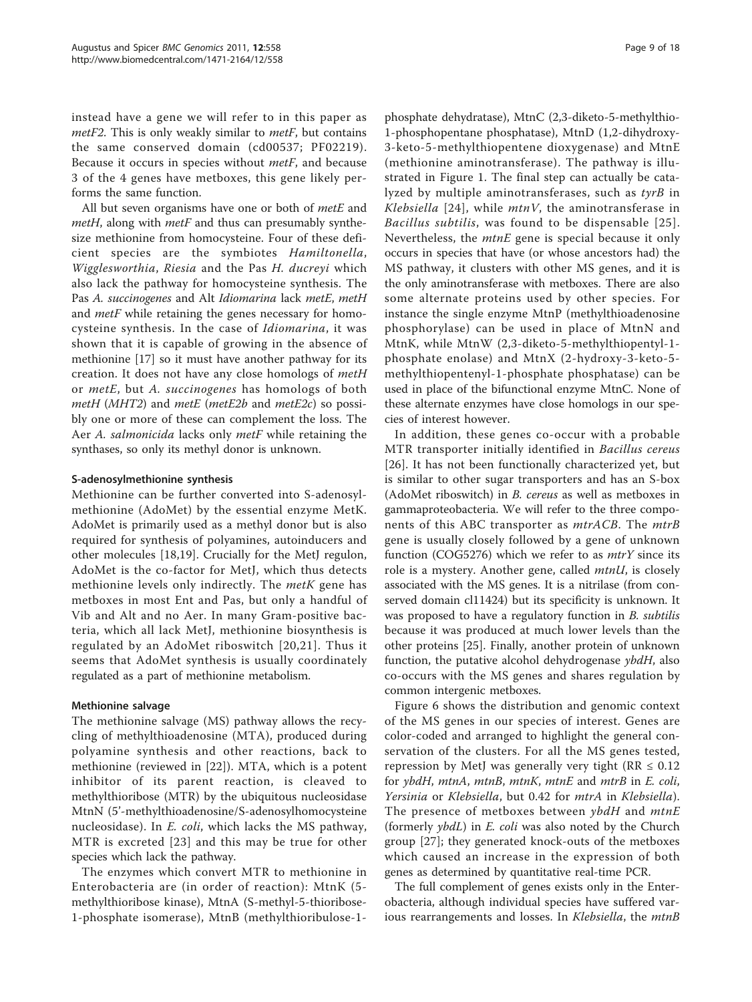instead have a gene we will refer to in this paper as  $metF2$ . This is only weakly similar to *metF*, but contains the same conserved domain (cd00537; PF02219). Because it occurs in species without metF, and because 3 of the 4 genes have metboxes, this gene likely performs the same function.

All but seven organisms have one or both of *metE* and *metH*, along with  $metF$  and thus can presumably synthesize methionine from homocysteine. Four of these deficient species are the symbiotes Hamiltonella, Wigglesworthia, Riesia and the Pas H. ducreyi which also lack the pathway for homocysteine synthesis. The Pas A. succinogenes and Alt Idiomarina lack metE, metH and *metF* while retaining the genes necessary for homocysteine synthesis. In the case of Idiomarina, it was shown that it is capable of growing in the absence of methionine [[17\]](#page-16-0) so it must have another pathway for its creation. It does not have any close homologs of metH or metE, but A. succinogenes has homologs of both metH (MHT2) and metE (metE2b and metE2c) so possibly one or more of these can complement the loss. The Aer A. salmonicida lacks only metF while retaining the synthases, so only its methyl donor is unknown.

## S-adenosylmethionine synthesis

Methionine can be further converted into S-adenosylmethionine (AdoMet) by the essential enzyme MetK. AdoMet is primarily used as a methyl donor but is also required for synthesis of polyamines, autoinducers and other molecules [[18,19](#page-16-0)]. Crucially for the MetJ regulon, AdoMet is the co-factor for MetJ, which thus detects methionine levels only indirectly. The *metK* gene has metboxes in most Ent and Pas, but only a handful of Vib and Alt and no Aer. In many Gram-positive bacteria, which all lack MetJ, methionine biosynthesis is regulated by an AdoMet riboswitch [[20](#page-16-0),[21](#page-16-0)]. Thus it seems that AdoMet synthesis is usually coordinately regulated as a part of methionine metabolism.

## Methionine salvage

The methionine salvage (MS) pathway allows the recycling of methylthioadenosine (MTA), produced during polyamine synthesis and other reactions, back to methionine (reviewed in [\[22](#page-16-0)]). MTA, which is a potent inhibitor of its parent reaction, is cleaved to methylthioribose (MTR) by the ubiquitous nucleosidase MtnN (5'-methylthioadenosine/S-adenosylhomocysteine nucleosidase). In *E. coli*, which lacks the MS pathway, MTR is excreted [[23](#page-16-0)] and this may be true for other species which lack the pathway.

The enzymes which convert MTR to methionine in Enterobacteria are (in order of reaction): MtnK (5 methylthioribose kinase), MtnA (S-methyl-5-thioribose-1-phosphate isomerase), MtnB (methylthioribulose-1-

phosphate dehydratase), MtnC (2,3-diketo-5-methylthio-1-phosphopentane phosphatase), MtnD (1,2-dihydroxy-3-keto-5-methylthiopentene dioxygenase) and MtnE (methionine aminotransferase). The pathway is illustrated in Figure [1](#page-1-0). The final step can actually be catalyzed by multiple aminotransferases, such as tyrB in Klebsiella [[24\]](#page-16-0), while  $mtnV$ , the aminotransferase in Bacillus subtilis, was found to be dispensable [[25\]](#page-16-0). Nevertheless, the *mtnE* gene is special because it only occurs in species that have (or whose ancestors had) the MS pathway, it clusters with other MS genes, and it is the only aminotransferase with metboxes. There are also some alternate proteins used by other species. For instance the single enzyme MtnP (methylthioadenosine phosphorylase) can be used in place of MtnN and MtnK, while MtnW (2,3-diketo-5-methylthiopentyl-1 phosphate enolase) and MtnX (2-hydroxy-3-keto-5 methylthiopentenyl-1-phosphate phosphatase) can be used in place of the bifunctional enzyme MtnC. None of these alternate enzymes have close homologs in our species of interest however.

In addition, these genes co-occur with a probable MTR transporter initially identified in Bacillus cereus [[26](#page-16-0)]. It has not been functionally characterized yet, but is similar to other sugar transporters and has an S-box (AdoMet riboswitch) in B. cereus as well as metboxes in gammaproteobacteria. We will refer to the three components of this ABC transporter as mtrACB. The mtrB gene is usually closely followed by a gene of unknown function (COG5276) which we refer to as  $mtrY$  since its role is a mystery. Another gene, called *mtnU*, is closely associated with the MS genes. It is a nitrilase (from conserved domain cl11424) but its specificity is unknown. It was proposed to have a regulatory function in B. subtilis because it was produced at much lower levels than the other proteins [[25\]](#page-16-0). Finally, another protein of unknown function, the putative alcohol dehydrogenase  $ybdH$ , also co-occurs with the MS genes and shares regulation by common intergenic metboxes.

Figure [6](#page-9-0) shows the distribution and genomic context of the MS genes in our species of interest. Genes are color-coded and arranged to highlight the general conservation of the clusters. For all the MS genes tested, repression by MetJ was generally very tight ( $RR \leq 0.12$ ) for ybdH, mtnA, mtnB, mtnK, mtnE and mtrB in E. coli, Yersinia or Klebsiella, but 0.42 for mtrA in Klebsiella). The presence of metboxes between *ybdH* and *mtnE* (formerly *ybdL*) in *E. coli* was also noted by the Church group [[27](#page-16-0)]; they generated knock-outs of the metboxes which caused an increase in the expression of both genes as determined by quantitative real-time PCR.

The full complement of genes exists only in the Enterobacteria, although individual species have suffered various rearrangements and losses. In Klebsiella, the mtnB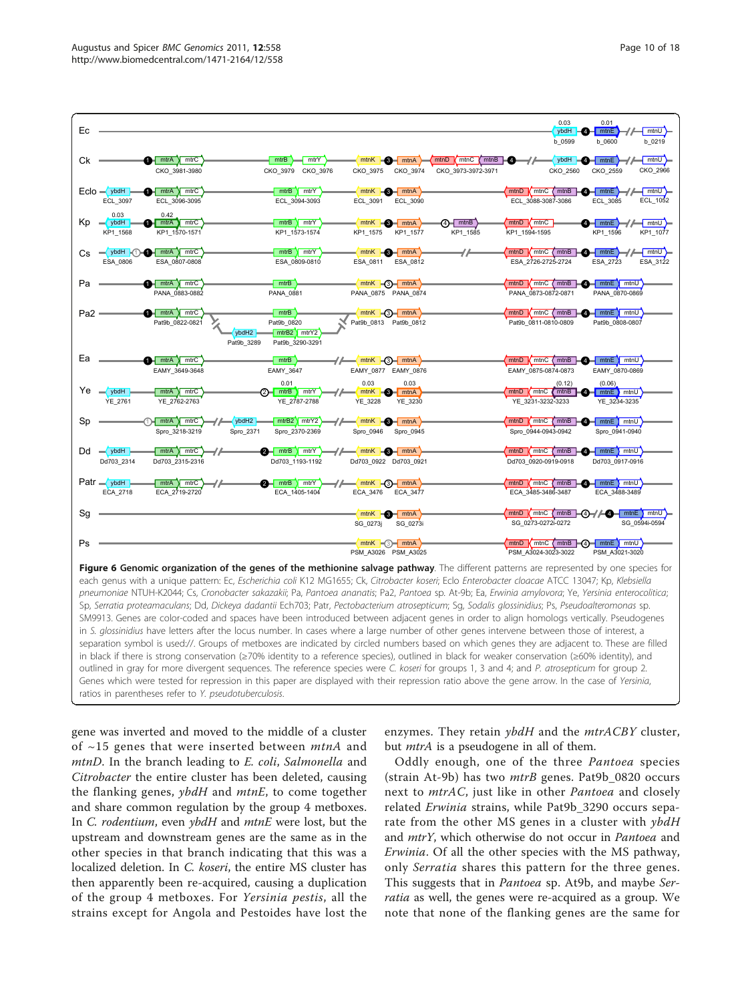<span id="page-9-0"></span>

gene was inverted and moved to the middle of a cluster of  $~15$  genes that were inserted between *mtnA* and mtnD. In the branch leading to E. coli, Salmonella and Citrobacter the entire cluster has been deleted, causing the flanking genes, ybdH and mtnE, to come together and share common regulation by the group 4 metboxes. In C. rodentium, even ybdH and mtnE were lost, but the upstream and downstream genes are the same as in the other species in that branch indicating that this was a localized deletion. In C. koseri, the entire MS cluster has then apparently been re-acquired, causing a duplication of the group 4 metboxes. For Yersinia pestis, all the strains except for Angola and Pestoides have lost the enzymes. They retain  $ybdH$  and the  $mtrACBY$  cluster, but *mtrA* is a pseudogene in all of them.

Oddly enough, one of the three Pantoea species (strain At-9b) has two *mtrB* genes. Pat9b\_0820 occurs next to *mtrAC*, just like in other *Pantoea* and closely related Erwinia strains, while Pat9b\_3290 occurs separate from the other MS genes in a cluster with ybdH and mtrY, which otherwise do not occur in Pantoea and Erwinia. Of all the other species with the MS pathway, only Serratia shares this pattern for the three genes. This suggests that in *Pantoea* sp. At9b, and maybe Serratia as well, the genes were re-acquired as a group. We note that none of the flanking genes are the same for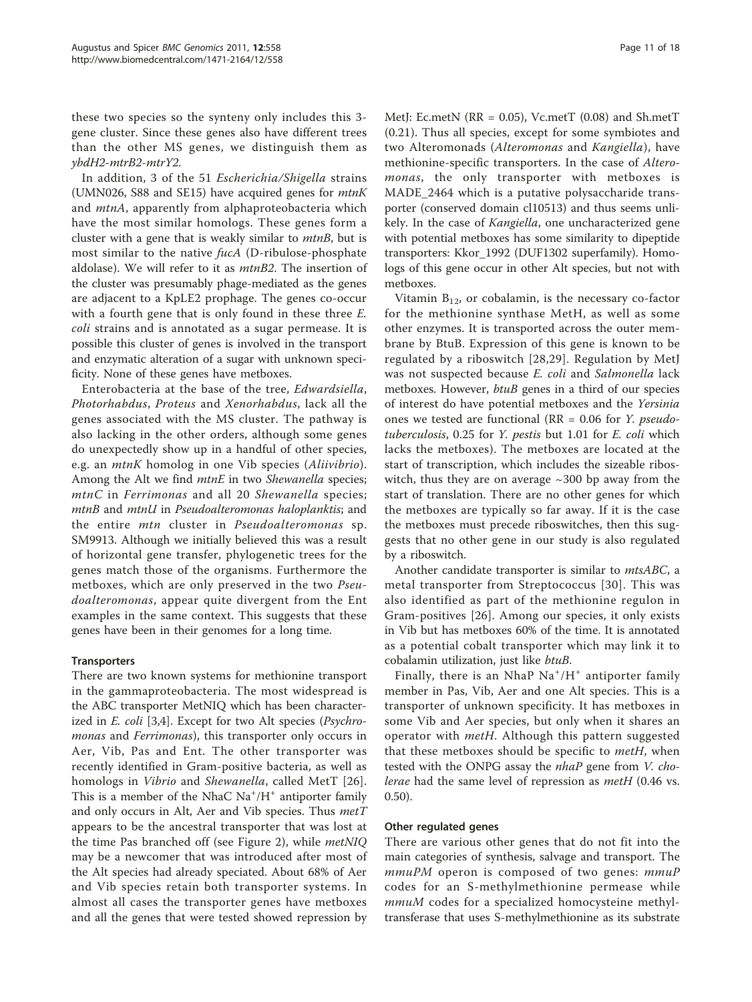these two species so the synteny only includes this 3 gene cluster. Since these genes also have different trees than the other MS genes, we distinguish them as ybdH2-mtrB2-mtrY2.

In addition, 3 of the 51 Escherichia/Shigella strains (UMN026, S88 and SE15) have acquired genes for mtnK and *mtnA*, apparently from alphaproteobacteria which have the most similar homologs. These genes form a cluster with a gene that is weakly similar to *mtnB*, but is most similar to the native fucA (D-ribulose-phosphate aldolase). We will refer to it as  $mtnB2$ . The insertion of the cluster was presumably phage-mediated as the genes are adjacent to a KpLE2 prophage. The genes co-occur with a fourth gene that is only found in these three E. coli strains and is annotated as a sugar permease. It is possible this cluster of genes is involved in the transport and enzymatic alteration of a sugar with unknown specificity. None of these genes have metboxes.

Enterobacteria at the base of the tree, Edwardsiella, Photorhabdus, Proteus and Xenorhabdus, lack all the genes associated with the MS cluster. The pathway is also lacking in the other orders, although some genes do unexpectedly show up in a handful of other species, e.g. an *mtnK* homolog in one Vib species (*Aliivibrio*). Among the Alt we find *mtnE* in two *Shewanella* species; mtnC in Ferrimonas and all 20 Shewanella species; mtnB and mtnU in Pseudoalteromonas haloplanktis; and the entire mtn cluster in Pseudoalteromonas sp. SM9913. Although we initially believed this was a result of horizontal gene transfer, phylogenetic trees for the genes match those of the organisms. Furthermore the metboxes, which are only preserved in the two Pseudoalteromonas, appear quite divergent from the Ent examples in the same context. This suggests that these genes have been in their genomes for a long time.

## **Transporters**

There are two known systems for methionine transport in the gammaproteobacteria. The most widespread is the ABC transporter MetNIQ which has been characterized in E. coli [[3,4\]](#page-16-0). Except for two Alt species (Psychromonas and Ferrimonas), this transporter only occurs in Aer, Vib, Pas and Ent. The other transporter was recently identified in Gram-positive bacteria, as well as homologs in Vibrio and Shewanella, called MetT [[26](#page-16-0)]. This is a member of the NhaC Na<sup>+</sup>/H<sup>+</sup> antiporter family and only occurs in Alt, Aer and Vib species. Thus *metT* appears to be the ancestral transporter that was lost at the time Pas branched off (see Figure [2](#page-3-0)), while *metNIQ* may be a newcomer that was introduced after most of the Alt species had already speciated. About 68% of Aer and Vib species retain both transporter systems. In almost all cases the transporter genes have metboxes and all the genes that were tested showed repression by MetJ: Ec.metN ( $RR = 0.05$ ), Vc.metT (0.08) and Sh.metT (0.21). Thus all species, except for some symbiotes and two Alteromonads (Alteromonas and Kangiella), have methionine-specific transporters. In the case of Alteromonas, the only transporter with metboxes is MADE\_2464 which is a putative polysaccharide transporter (conserved domain cl10513) and thus seems unlikely. In the case of Kangiella, one uncharacterized gene with potential metboxes has some similarity to dipeptide transporters: Kkor\_1992 (DUF1302 superfamily). Homologs of this gene occur in other Alt species, but not with metboxes.

Vitamin  $B_{12}$ , or cobalamin, is the necessary co-factor for the methionine synthase MetH, as well as some other enzymes. It is transported across the outer membrane by BtuB. Expression of this gene is known to be regulated by a riboswitch [[28,29](#page-16-0)]. Regulation by MetJ was not suspected because E. coli and Salmonella lack metboxes. However, *btuB* genes in a third of our species of interest do have potential metboxes and the Yersinia ones we tested are functional ( $RR = 0.06$  for *Y. pseudo*tuberculosis, 0.25 for Y. pestis but 1.01 for E. coli which lacks the metboxes). The metboxes are located at the start of transcription, which includes the sizeable riboswitch, thus they are on average  $\sim$ 300 bp away from the start of translation. There are no other genes for which the metboxes are typically so far away. If it is the case the metboxes must precede riboswitches, then this suggests that no other gene in our study is also regulated by a riboswitch.

Another candidate transporter is similar to *mtsABC*, a metal transporter from Streptococcus [[30](#page-16-0)]. This was also identified as part of the methionine regulon in Gram-positives [\[26](#page-16-0)]. Among our species, it only exists in Vib but has metboxes 60% of the time. It is annotated as a potential cobalt transporter which may link it to cobalamin utilization, just like btuB.

Finally, there is an NhaP  $Na^+/H^+$  antiporter family member in Pas, Vib, Aer and one Alt species. This is a transporter of unknown specificity. It has metboxes in some Vib and Aer species, but only when it shares an operator with metH. Although this pattern suggested that these metboxes should be specific to *metH*, when tested with the ONPG assay the nhaP gene from V. cholerae had the same level of repression as *metH* (0.46 vs. 0.50).

#### Other regulated genes

There are various other genes that do not fit into the main categories of synthesis, salvage and transport. The mmuPM operon is composed of two genes: mmuP codes for an S-methylmethionine permease while mmuM codes for a specialized homocysteine methyltransferase that uses S-methylmethionine as its substrate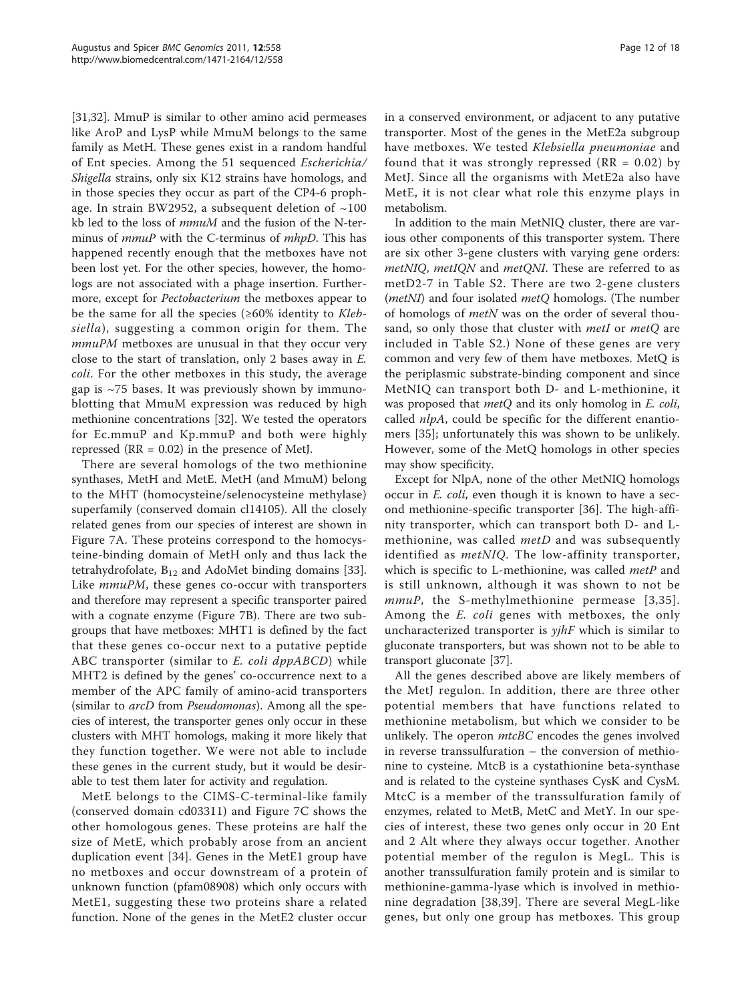[[31,32\]](#page-16-0). MmuP is similar to other amino acid permeases like AroP and LysP while MmuM belongs to the same family as MetH. These genes exist in a random handful of Ent species. Among the 51 sequenced Escherichia/ Shigella strains, only six K12 strains have homologs, and in those species they occur as part of the CP4-6 prophage. In strain BW2952, a subsequent deletion of  $\sim$ 100 kb led to the loss of mmuM and the fusion of the N-terminus of  $mmuP$  with the C-terminus of  $mhpD$ . This has happened recently enough that the metboxes have not been lost yet. For the other species, however, the homologs are not associated with a phage insertion. Furthermore, except for Pectobacterium the metboxes appear to be the same for all the species  $(\geq 60\%$  identity to *Kleb*siella), suggesting a common origin for them. The mmuPM metboxes are unusual in that they occur very close to the start of translation, only 2 bases away in E. coli. For the other metboxes in this study, the average gap is  $~15$  bases. It was previously shown by immunoblotting that MmuM expression was reduced by high methionine concentrations [[32\]](#page-16-0). We tested the operators for Ec.mmuP and Kp.mmuP and both were highly repressed ( $RR = 0.02$ ) in the presence of MetJ.

There are several homologs of the two methionine synthases, MetH and MetE. MetH (and MmuM) belong to the MHT (homocysteine/selenocysteine methylase) superfamily (conserved domain cl14105). All the closely related genes from our species of interest are shown in Figure [7A.](#page-12-0) These proteins correspond to the homocysteine-binding domain of MetH only and thus lack the tetrahydrofolate,  $B_{12}$  and AdoMet binding domains [\[33](#page-16-0)]. Like *mmuPM*, these genes co-occur with transporters and therefore may represent a specific transporter paired with a cognate enzyme (Figure [7B\)](#page-12-0). There are two subgroups that have metboxes: MHT1 is defined by the fact that these genes co-occur next to a putative peptide ABC transporter (similar to E. coli dppABCD) while MHT2 is defined by the genes' co-occurrence next to a member of the APC family of amino-acid transporters (similar to arcD from Pseudomonas). Among all the species of interest, the transporter genes only occur in these clusters with MHT homologs, making it more likely that they function together. We were not able to include these genes in the current study, but it would be desirable to test them later for activity and regulation.

MetE belongs to the CIMS-C-terminal-like family (conserved domain cd03311) and Figure [7C](#page-12-0) shows the other homologous genes. These proteins are half the size of MetE, which probably arose from an ancient duplication event [\[34](#page-16-0)]. Genes in the MetE1 group have no metboxes and occur downstream of a protein of unknown function (pfam08908) which only occurs with MetE1, suggesting these two proteins share a related function. None of the genes in the MetE2 cluster occur in a conserved environment, or adjacent to any putative transporter. Most of the genes in the MetE2a subgroup have metboxes. We tested Klebsiella pneumoniae and found that it was strongly repressed ( $RR = 0.02$ ) by MetJ. Since all the organisms with MetE2a also have MetE, it is not clear what role this enzyme plays in metabolism.

In addition to the main MetNIQ cluster, there are various other components of this transporter system. There are six other 3-gene clusters with varying gene orders: metNIQ, metIQN and metQNI. These are referred to as metD2-7 in Table S2. There are two 2-gene clusters (metNI) and four isolated metQ homologs. (The number of homologs of metN was on the order of several thousand, so only those that cluster with *metI* or *metQ* are included in Table S2.) None of these genes are very common and very few of them have metboxes. MetQ is the periplasmic substrate-binding component and since MetNIQ can transport both D- and L-methionine, it was proposed that  $metQ$  and its only homolog in  $E.$  coli, called *nlpA*, could be specific for the different enantiomers [[35\]](#page-16-0); unfortunately this was shown to be unlikely. However, some of the MetQ homologs in other species may show specificity.

Except for NlpA, none of the other MetNIQ homologs occur in *E. coli*, even though it is known to have a second methionine-specific transporter [[36\]](#page-16-0). The high-affinity transporter, which can transport both D- and Lmethionine, was called  $metD$  and was subsequently identified as metNIQ. The low-affinity transporter, which is specific to L-methionine, was called *metP* and is still unknown, although it was shown to not be  $mmuP$ , the S-methylmethionine permease [[3](#page-16-0),[35\]](#page-16-0). Among the E. coli genes with metboxes, the only uncharacterized transporter is  $y/hF$  which is similar to gluconate transporters, but was shown not to be able to transport gluconate [\[37\]](#page-16-0).

All the genes described above are likely members of the MetJ regulon. In addition, there are three other potential members that have functions related to methionine metabolism, but which we consider to be unlikely. The operon *mtcBC* encodes the genes involved in reverse transsulfuration – the conversion of methionine to cysteine. MtcB is a cystathionine beta-synthase and is related to the cysteine synthases CysK and CysM. MtcC is a member of the transsulfuration family of enzymes, related to MetB, MetC and MetY. In our species of interest, these two genes only occur in 20 Ent and 2 Alt where they always occur together. Another potential member of the regulon is MegL. This is another transsulfuration family protein and is similar to methionine-gamma-lyase which is involved in methionine degradation [[38,](#page-16-0)[39](#page-17-0)]. There are several MegL-like genes, but only one group has metboxes. This group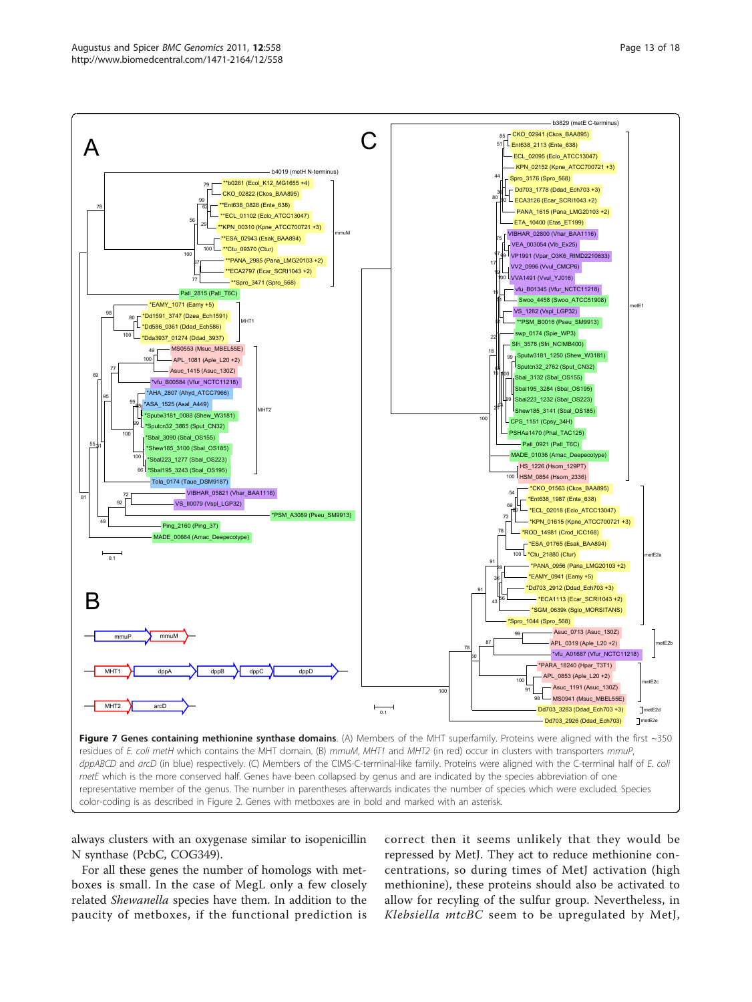<span id="page-12-0"></span>

always clusters with an oxygenase similar to isopenicillin

For all these genes the number of homologs with metboxes is small. In the case of MegL only a few closely related Shewanella species have them. In addition to the paucity of metboxes, if the functional prediction is

N synthase (PcbC, COG349).

correct then it seems unlikely that they would be repressed by MetJ. They act to reduce methionine concentrations, so during times of MetJ activation (high methionine), these proteins should also be activated to allow for recyling of the sulfur group. Nevertheless, in Klebsiella mtcBC seem to be upregulated by MetJ,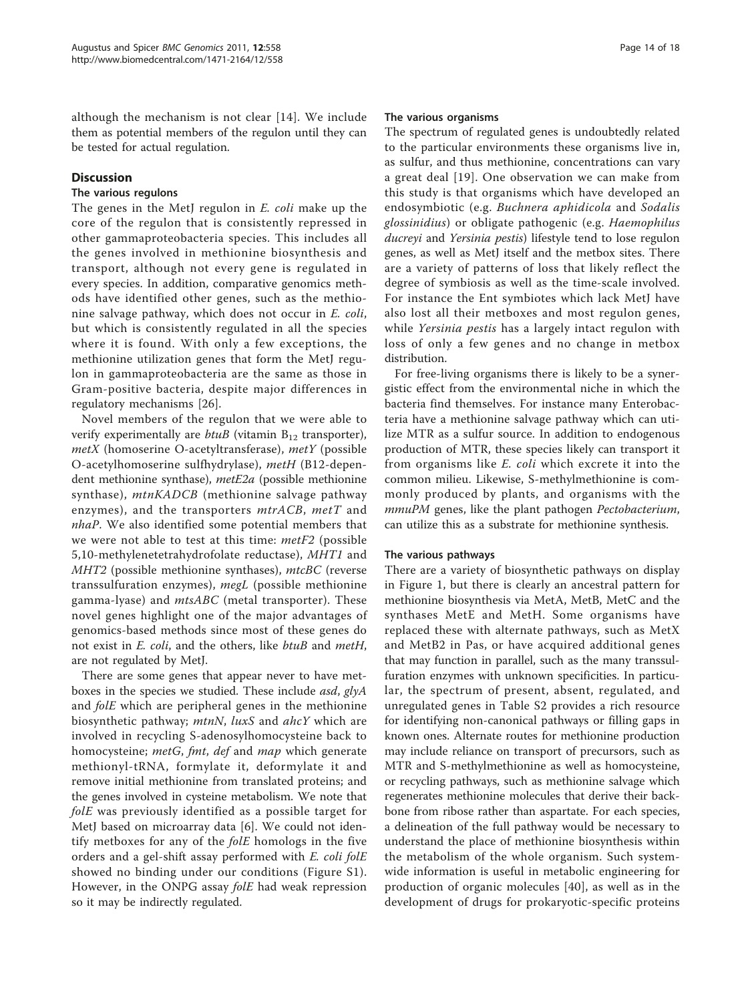although the mechanism is not clear [[14](#page-16-0)]. We include them as potential members of the regulon until they can be tested for actual regulation.

## **Discussion**

## The various regulons

The genes in the MetJ regulon in E. coli make up the core of the regulon that is consistently repressed in other gammaproteobacteria species. This includes all the genes involved in methionine biosynthesis and transport, although not every gene is regulated in every species. In addition, comparative genomics methods have identified other genes, such as the methionine salvage pathway, which does not occur in E. coli, but which is consistently regulated in all the species where it is found. With only a few exceptions, the methionine utilization genes that form the MetJ regulon in gammaproteobacteria are the same as those in Gram-positive bacteria, despite major differences in regulatory mechanisms [[26](#page-16-0)].

Novel members of the regulon that we were able to verify experimentally are  $btuB$  (vitamin  $B_{12}$  transporter),  $metX$  (homoserine O-acetyltransferase), metY (possible O-acetylhomoserine sulfhydrylase), metH (B12-dependent methionine synthase), *metE2a* (possible methionine synthase), mtnKADCB (methionine salvage pathway enzymes), and the transporters  $mtrACB$ ,  $metT$  and nhaP. We also identified some potential members that we were not able to test at this time: metF2 (possible 5,10-methylenetetrahydrofolate reductase), MHT1 and MHT2 (possible methionine synthases), mtcBC (reverse transsulfuration enzymes), megL (possible methionine gamma-lyase) and *mtsABC* (metal transporter). These novel genes highlight one of the major advantages of genomics-based methods since most of these genes do not exist in E. coli, and the others, like btuB and metH, are not regulated by MetJ.

There are some genes that appear never to have metboxes in the species we studied. These include asd, glyA and folE which are peripheral genes in the methionine biosynthetic pathway; mtnN, luxS and ahcY which are involved in recycling S-adenosylhomocysteine back to homocysteine; metG, fmt, def and map which generate methionyl-tRNA, formylate it, deformylate it and remove initial methionine from translated proteins; and the genes involved in cysteine metabolism. We note that folE was previously identified as a possible target for MetJ based on microarray data [[6\]](#page-16-0). We could not identify metboxes for any of the folE homologs in the five orders and a gel-shift assay performed with E. coli folE showed no binding under our conditions (Figure S1). However, in the ONPG assay *folE* had weak repression so it may be indirectly regulated.

#### The various organisms

The spectrum of regulated genes is undoubtedly related to the particular environments these organisms live in, as sulfur, and thus methionine, concentrations can vary a great deal [[19](#page-16-0)]. One observation we can make from this study is that organisms which have developed an endosymbiotic (e.g. Buchnera aphidicola and Sodalis glossinidius) or obligate pathogenic (e.g. Haemophilus ducreyi and Yersinia pestis) lifestyle tend to lose regulon genes, as well as MetJ itself and the metbox sites. There are a variety of patterns of loss that likely reflect the degree of symbiosis as well as the time-scale involved. For instance the Ent symbiotes which lack MetJ have also lost all their metboxes and most regulon genes, while Yersinia pestis has a largely intact regulon with loss of only a few genes and no change in metbox distribution.

For free-living organisms there is likely to be a synergistic effect from the environmental niche in which the bacteria find themselves. For instance many Enterobacteria have a methionine salvage pathway which can utilize MTR as a sulfur source. In addition to endogenous production of MTR, these species likely can transport it from organisms like E. coli which excrete it into the common milieu. Likewise, S-methylmethionine is commonly produced by plants, and organisms with the mmuPM genes, like the plant pathogen Pectobacterium, can utilize this as a substrate for methionine synthesis.

#### The various pathways

There are a variety of biosynthetic pathways on display in Figure [1,](#page-1-0) but there is clearly an ancestral pattern for methionine biosynthesis via MetA, MetB, MetC and the synthases MetE and MetH. Some organisms have replaced these with alternate pathways, such as MetX and MetB2 in Pas, or have acquired additional genes that may function in parallel, such as the many transsulfuration enzymes with unknown specificities. In particular, the spectrum of present, absent, regulated, and unregulated genes in Table S2 provides a rich resource for identifying non-canonical pathways or filling gaps in known ones. Alternate routes for methionine production may include reliance on transport of precursors, such as MTR and S-methylmethionine as well as homocysteine, or recycling pathways, such as methionine salvage which regenerates methionine molecules that derive their backbone from ribose rather than aspartate. For each species, a delineation of the full pathway would be necessary to understand the place of methionine biosynthesis within the metabolism of the whole organism. Such systemwide information is useful in metabolic engineering for production of organic molecules [[40](#page-17-0)], as well as in the development of drugs for prokaryotic-specific proteins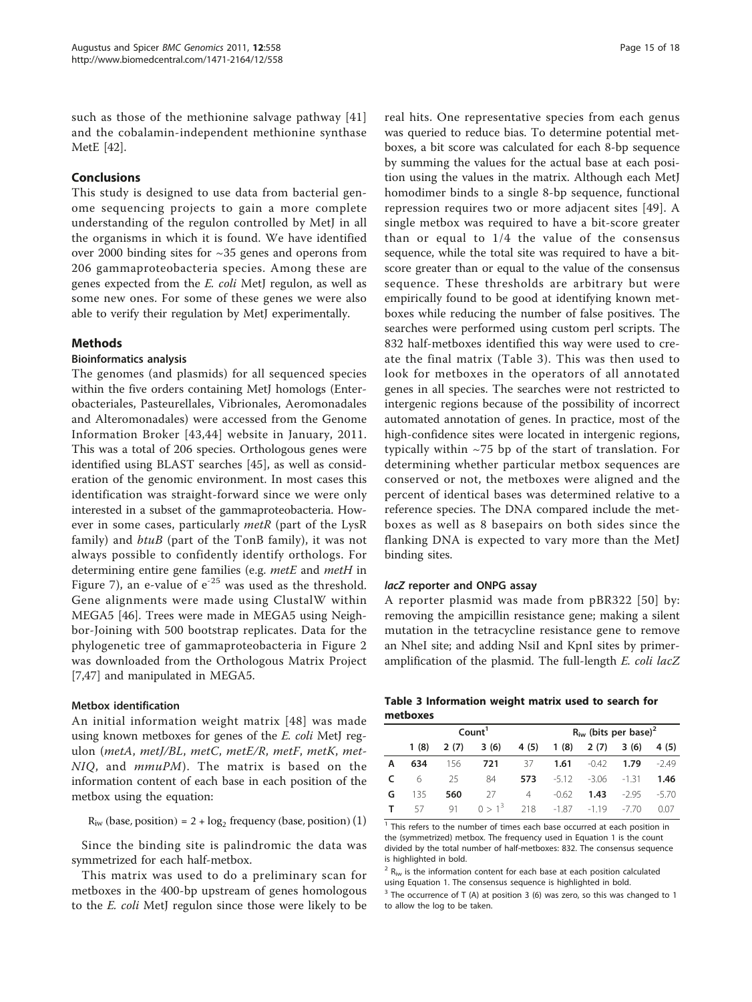such as those of the methionine salvage pathway [[41](#page-17-0)] and the cobalamin-independent methionine synthase MetE [\[42\]](#page-17-0).

## Conclusions

This study is designed to use data from bacterial genome sequencing projects to gain a more complete understanding of the regulon controlled by MetJ in all the organisms in which it is found. We have identified over 2000 binding sites for ~35 genes and operons from 206 gammaproteobacteria species. Among these are genes expected from the E. coli MetJ regulon, as well as some new ones. For some of these genes we were also able to verify their regulation by MetJ experimentally.

## Methods

## Bioinformatics analysis

The genomes (and plasmids) for all sequenced species within the five orders containing MetJ homologs (Enterobacteriales, Pasteurellales, Vibrionales, Aeromonadales and Alteromonadales) were accessed from the Genome Information Broker [[43](#page-17-0),[44](#page-17-0)] website in January, 2011. This was a total of 206 species. Orthologous genes were identified using BLAST searches [[45](#page-17-0)], as well as consideration of the genomic environment. In most cases this identification was straight-forward since we were only interested in a subset of the gammaproteobacteria. However in some cases, particularly metR (part of the LysR family) and  $btuB$  (part of the TonB family), it was not always possible to confidently identify orthologs. For determining entire gene families (e.g. metE and metH in Figure [7\)](#page-12-0), an e-value of  $e^{-25}$  was used as the threshold. Gene alignments were made using ClustalW within MEGA5 [[46\]](#page-17-0). Trees were made in MEGA5 using Neighbor-Joining with 500 bootstrap replicates. Data for the phylogenetic tree of gammaproteobacteria in Figure [2](#page-3-0) was downloaded from the Orthologous Matrix Project [[7,](#page-16-0)[47\]](#page-17-0) and manipulated in MEGA5.

## Metbox identification

An initial information weight matrix [[48\]](#page-17-0) was made using known metboxes for genes of the E. coli MetJ regulon (metA, metJ/BL, metC, metE/R, metF, metK, met-NIQ, and mmuPM). The matrix is based on the information content of each base in each position of the metbox using the equation:

 $R_{iw}$  *(base, position)* = 2 +  $log_2$  frequency *(base, position)* (1)

Since the binding site is palindromic the data was symmetrized for each half-metbox.

This matrix was used to do a preliminary scan for metboxes in the 400-bp upstream of genes homologous to the E. coli MetJ regulon since those were likely to be real hits. One representative species from each genus was queried to reduce bias. To determine potential metboxes, a bit score was calculated for each 8-bp sequence by summing the values for the actual base at each position using the values in the matrix. Although each MetJ homodimer binds to a single 8-bp sequence, functional repression requires two or more adjacent sites [\[49](#page-17-0)]. A single metbox was required to have a bit-score greater than or equal to 1/4 the value of the consensus sequence, while the total site was required to have a bitscore greater than or equal to the value of the consensus sequence. These thresholds are arbitrary but were empirically found to be good at identifying known metboxes while reducing the number of false positives. The searches were performed using custom perl scripts. The 832 half-metboxes identified this way were used to create the final matrix (Table 3). This was then used to look for metboxes in the operators of all annotated genes in all species. The searches were not restricted to intergenic regions because of the possibility of incorrect automated annotation of genes. In practice, most of the high-confidence sites were located in intergenic regions, typically within  $\sim$ 75 bp of the start of translation. For determining whether particular metbox sequences are conserved or not, the metboxes were aligned and the percent of identical bases was determined relative to a reference species. The DNA compared include the metboxes as well as 8 basepairs on both sides since the flanking DNA is expected to vary more than the MetJ binding sites.

## lacZ reporter and ONPG assay

A reporter plasmid was made from pBR322 [[50\]](#page-17-0) by: removing the ampicillin resistance gene; making a silent mutation in the tetracycline resistance gene to remove an NheI site; and adding NsiI and KpnI sites by primeramplification of the plasmid. The full-length E. coli lacZ

| Table 3 Information weight matrix used to search for |  |  |  |
|------------------------------------------------------|--|--|--|
| metboxes                                             |  |  |  |

|   |      |      | Count <sup>1</sup>        |                | $R_{iw}$ (bits per base) <sup>2</sup> |                |       |         |  |  |
|---|------|------|---------------------------|----------------|---------------------------------------|----------------|-------|---------|--|--|
|   | 1(8) | 2(7) | 3 (6)                     |                | $4(5)$ $1(8)$ $2(7)$ $3(6)$           |                |       | 4 (5)   |  |  |
| А | 634  | 156  | 721                       | 37             | 1.61                                  | $-0.42$        | 1.79  | $-2.49$ |  |  |
| C | 6    | 25   | 84                        | 573            | $-5.12$                               | $-3.06 - 1.31$ |       | 1.46    |  |  |
| G | 135  | 560  | 27                        | $\overline{4}$ | $-0.62$                               | 1.43           | -295  | $-570$  |  |  |
| т | 57   | 91   | $0 > 1^3$ 218 -1.87 -1.19 |                |                                       |                | -7.70 | 0.07    |  |  |

 $<sup>1</sup>$  This refers to the number of times each base occurred at each position in</sup> the (symmetrized) metbox. The frequency used in Equation 1 is the count divided by the total number of half-metboxes: 832. The consensus sequence is highlighted in bold.

 $2 R_{\text{iw}}$  is the information content for each base at each position calculated using Equation 1. The consensus sequence is highlighted in bold.

 $3$  The occurrence of T (A) at position 3 (6) was zero, so this was changed to 1 to allow the log to be taken.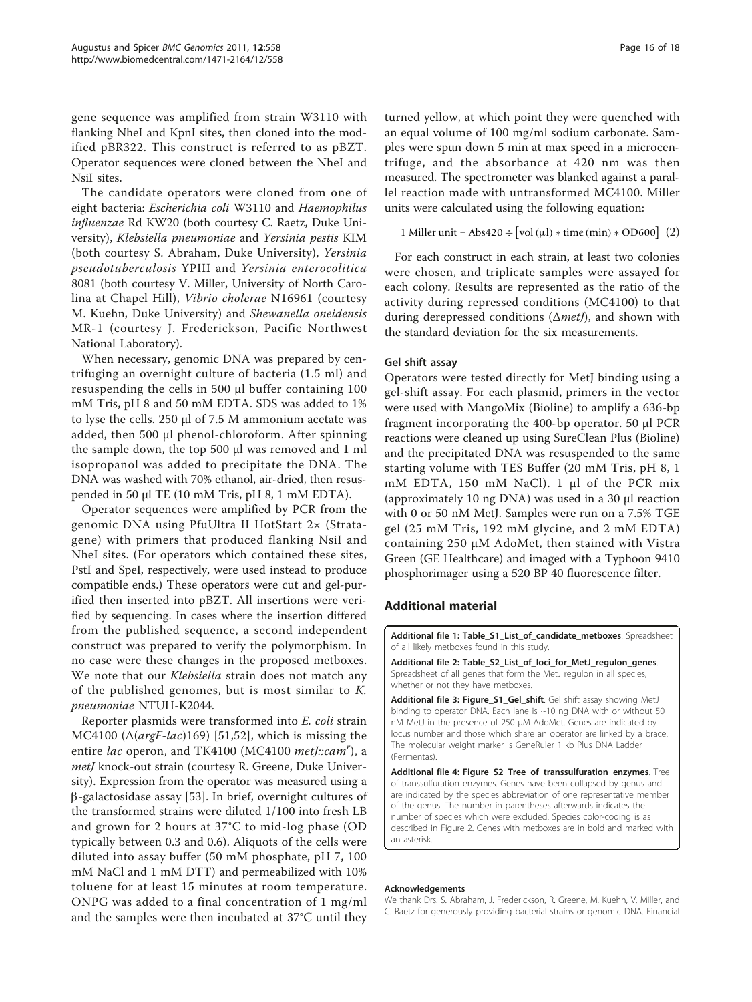<span id="page-15-0"></span>gene sequence was amplified from strain W3110 with flanking NheI and KpnI sites, then cloned into the modified pBR322. This construct is referred to as pBZT. Operator sequences were cloned between the NheI and NsiI sites.

The candidate operators were cloned from one of eight bacteria: Escherichia coli W3110 and Haemophilus influenzae Rd KW20 (both courtesy C. Raetz, Duke University), Klebsiella pneumoniae and Yersinia pestis KIM (both courtesy S. Abraham, Duke University), Yersinia pseudotuberculosis YPIII and Yersinia enterocolitica 8081 (both courtesy V. Miller, University of North Carolina at Chapel Hill), Vibrio cholerae N16961 (courtesy M. Kuehn, Duke University) and Shewanella oneidensis MR-1 (courtesy J. Frederickson, Pacific Northwest National Laboratory).

When necessary, genomic DNA was prepared by centrifuging an overnight culture of bacteria (1.5 ml) and resuspending the cells in 500 μl buffer containing 100 mM Tris, pH 8 and 50 mM EDTA. SDS was added to 1% to lyse the cells. 250 μl of 7.5 M ammonium acetate was added, then 500 μl phenol-chloroform. After spinning the sample down, the top 500 μl was removed and 1 ml isopropanol was added to precipitate the DNA. The DNA was washed with 70% ethanol, air-dried, then resuspended in 50 μl TE (10 mM Tris, pH 8, 1 mM EDTA).

Operator sequences were amplified by PCR from the genomic DNA using PfuUltra II HotStart 2× (Stratagene) with primers that produced flanking NsiI and NheI sites. (For operators which contained these sites, PstI and SpeI, respectively, were used instead to produce compatible ends.) These operators were cut and gel-purified then inserted into pBZT. All insertions were verified by sequencing. In cases where the insertion differed from the published sequence, a second independent construct was prepared to verify the polymorphism. In no case were these changes in the proposed metboxes. We note that our Klebsiella strain does not match any of the published genomes, but is most similar to K. pneumoniae NTUH-K2044.

Reporter plasmids were transformed into E. coli strain MC4100 ( $\Delta(\text{argF-lac})$ 169) [[51,52](#page-17-0)], which is missing the entire lac operon, and TK4100 (MC4100 metJ::cam'), a metJ knock-out strain (courtesy R. Greene, Duke University). Expression from the operator was measured using a  $\beta$ -galactosidase assay [[53\]](#page-17-0). In brief, overnight cultures of the transformed strains were diluted 1/100 into fresh LB and grown for 2 hours at 37°C to mid-log phase (OD typically between 0.3 and 0.6). Aliquots of the cells were diluted into assay buffer (50 mM phosphate, pH 7, 100 mM NaCl and 1 mM DTT) and permeabilized with 10% toluene for at least 15 minutes at room temperature. ONPG was added to a final concentration of 1 mg/ml and the samples were then incubated at 37°C until they

turned yellow, at which point they were quenched with an equal volume of 100 mg/ml sodium carbonate. Samples were spun down 5 min at max speed in a microcentrifuge, and the absorbance at 420 nm was then measured. The spectrometer was blanked against a parallel reaction made with untransformed MC4100. Miller units were calculated using the following equation:

```
1 Miller unit = \text{Abs420} \div \left[ \text{vol} (\mu \text{I}) * \text{time} (\text{min}) * \text{OD600} \right] (2)
```
For each construct in each strain, at least two colonies were chosen, and triplicate samples were assayed for each colony. Results are represented as the ratio of the activity during repressed conditions (MC4100) to that during derepressed conditions  $(\Delta met)$ , and shown with the standard deviation for the six measurements.

## Gel shift assay

Operators were tested directly for MetJ binding using a gel-shift assay. For each plasmid, primers in the vector were used with MangoMix (Bioline) to amplify a 636-bp fragment incorporating the 400-bp operator. 50 μl PCR reactions were cleaned up using SureClean Plus (Bioline) and the precipitated DNA was resuspended to the same starting volume with TES Buffer (20 mM Tris, pH 8, 1 mM EDTA, 150 mM NaCl). 1 μl of the PCR mix (approximately 10 ng DNA) was used in a 30 μl reaction with 0 or 50 nM MetJ. Samples were run on a 7.5% TGE gel (25 mM Tris, 192 mM glycine, and 2 mM EDTA) containing 250 μM AdoMet, then stained with Vistra Green (GE Healthcare) and imaged with a Typhoon 9410 phosphorimager using a 520 BP 40 fluorescence filter.

## Additional material

[Additional file 1: T](http://www.biomedcentral.com/content/supplementary/1471-2164-12-558-S1.XLS)able\_S1\_List\_of\_candidate\_metboxes. Spreadsheet of all likely metboxes found in this study.

[Additional file 2: T](http://www.biomedcentral.com/content/supplementary/1471-2164-12-558-S2.XLS)able\_S2\_List\_of\_loci\_for\_MetJ\_regulon\_genes. Spreadsheet of all genes that form the MetJ regulon in all species, whether or not they have metboxes.

[Additional file 3: F](http://www.biomedcentral.com/content/supplementary/1471-2164-12-558-S3.PDF)igure\_S1\_Gel\_shift. Gel shift assay showing MetJ binding to operator DNA. Each lane is ~10 ng DNA with or without 50 nM MetJ in the presence of 250 μM AdoMet. Genes are indicated by locus number and those which share an operator are linked by a brace. The molecular weight marker is GeneRuler 1 kb Plus DNA Ladder (Fermentas).

[Additional file 4: F](http://www.biomedcentral.com/content/supplementary/1471-2164-12-558-S4.PDF)igure\_S2\_Tree\_of\_transsulfuration\_enzymes. Tree of transsulfuration enzymes. Genes have been collapsed by genus and are indicated by the species abbreviation of one representative member of the genus. The number in parentheses afterwards indicates the number of species which were excluded. Species color-coding is as described in Figure [2](#page-3-0). Genes with metboxes are in bold and marked with an asterisk.

#### Acknowledgements

We thank Drs. S. Abraham, J. Frederickson, R. Greene, M. Kuehn, V. Miller, and C. Raetz for generously providing bacterial strains or genomic DNA. Financial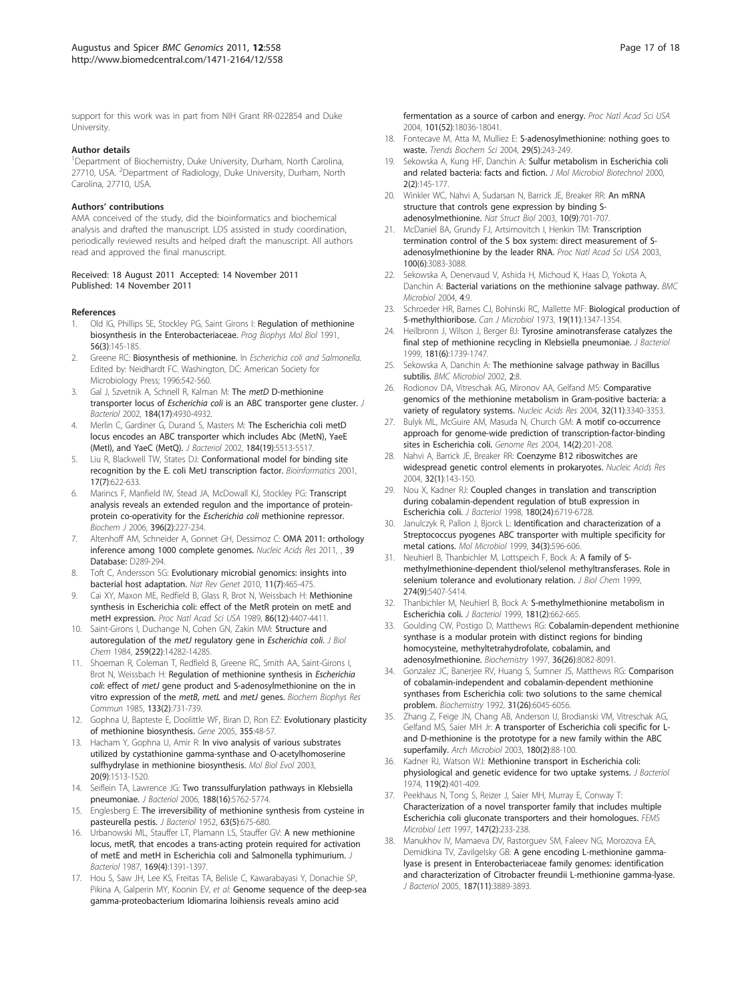<span id="page-16-0"></span>support for this work was in part from NIH Grant RR-022854 and Duke University.

#### Author details

<sup>1</sup>Department of Biochemistry, Duke University, Durham, North Carolina, 27710, USA. <sup>2</sup>Department of Radiology, Duke University, Durham, North Carolina, 27710, USA.

#### Authors' contributions

AMA conceived of the study, did the bioinformatics and biochemical analysis and drafted the manuscript. LDS assisted in study coordination, periodically reviewed results and helped draft the manuscript. All authors read and approved the final manuscript.

#### Received: 18 August 2011 Accepted: 14 November 2011 Published: 14 November 2011

#### References

- 1. Old IG, Phillips SE, Stockley PG, Saint Girons I: [Regulation of methionine](http://www.ncbi.nlm.nih.gov/pubmed/1771231?dopt=Abstract) [biosynthesis in the Enterobacteriaceae.](http://www.ncbi.nlm.nih.gov/pubmed/1771231?dopt=Abstract) Prog Biophys Mol Biol 1991, 56(3):145-185.
- Greene RC: Biosynthesis of methionine. In Escherichia coli and Salmonella. Edited by: Neidhardt FC. Washington, DC: American Society for Microbiology Press; 1996:542-560.
- 3. Gal J, Szvetnik A, Schnell R, Kalman M: The metD [D-methionine](http://www.ncbi.nlm.nih.gov/pubmed/12169620?dopt=Abstract) transporter locus of Escherichia coli [is an ABC transporter gene cluster.](http://www.ncbi.nlm.nih.gov/pubmed/12169620?dopt=Abstract) J Bacteriol 2002, 184(17):4930-4932.
- Merlin C, Gardiner G, Durand S, Masters M: [The Escherichia coli metD](http://www.ncbi.nlm.nih.gov/pubmed/12218041?dopt=Abstract) [locus encodes an ABC transporter which includes Abc \(MetN\), YaeE](http://www.ncbi.nlm.nih.gov/pubmed/12218041?dopt=Abstract) [\(MetI\), and YaeC \(MetQ\).](http://www.ncbi.nlm.nih.gov/pubmed/12218041?dopt=Abstract) J Bacteriol 2002, 184(19):5513-5517.
- 5. Liu R, Blackwell TW, States DJ: [Conformational model for binding site](http://www.ncbi.nlm.nih.gov/pubmed/11448880?dopt=Abstract) [recognition by the E. coli MetJ transcription factor.](http://www.ncbi.nlm.nih.gov/pubmed/11448880?dopt=Abstract) Bioinformatics 2001, 17(7):622-633.
- 6. Marincs F, Manfield IW, Stead JA, McDowall KJ, Stockley PG: [Transcript](http://www.ncbi.nlm.nih.gov/pubmed/16515535?dopt=Abstract) [analysis reveals an extended regulon and the importance of protein](http://www.ncbi.nlm.nih.gov/pubmed/16515535?dopt=Abstract)[protein co-operativity for the](http://www.ncbi.nlm.nih.gov/pubmed/16515535?dopt=Abstract) Escherichia coli methionine repressor. Biochem J 2006, 396(2):227-234.
- 7. Altenhoff AM, Schneider A, Gonnet GH, Dessimoz C: OMA 2011: orthology inference among 1000 complete genomes. Nucleic Acids Res 2011, , 39 Database: D289-294.
- 8. Toft C, Andersson SG: [Evolutionary microbial genomics: insights into](http://www.ncbi.nlm.nih.gov/pubmed/20517341?dopt=Abstract) [bacterial host adaptation.](http://www.ncbi.nlm.nih.gov/pubmed/20517341?dopt=Abstract) Nat Rev Genet 2010, 11(7):465-475.
- 9. Cai XY, Maxon ME, Redfield B, Glass R, Brot N, Weissbach H: [Methionine](http://www.ncbi.nlm.nih.gov/pubmed/2543976?dopt=Abstract) [synthesis in Escherichia coli: effect of the MetR protein on metE and](http://www.ncbi.nlm.nih.gov/pubmed/2543976?dopt=Abstract) [metH expression.](http://www.ncbi.nlm.nih.gov/pubmed/2543976?dopt=Abstract) Proc Natl Acad Sci USA 1989, 86(12):4407-4411.
- 10. Saint-Girons I, Duchange N, Cohen GN, Zakin MM: [Structure and](http://www.ncbi.nlm.nih.gov/pubmed/6094549?dopt=Abstract) [autoregulation of the](http://www.ncbi.nlm.nih.gov/pubmed/6094549?dopt=Abstract) metJ regulatory gene in Escherichia coli. J Biol Chem 1984, 259(22):14282-14285.
- 11. Shoeman R, Coleman T, Redfield B, Greene RC, Smith AA, Saint-Girons I, Brot N, Weissbach H: [Regulation of methionine synthesis in](http://www.ncbi.nlm.nih.gov/pubmed/3910040?dopt=Abstract) Escherichia coli: effect of metJ [gene product and S-adenosylmethionine on the in](http://www.ncbi.nlm.nih.gov/pubmed/3910040?dopt=Abstract) [vitro expression of the](http://www.ncbi.nlm.nih.gov/pubmed/3910040?dopt=Abstract) metB, metL and metJ genes. Biochem Biophys Res Commun 1985, 133(2):731-739.
- 12. Gophna U, Bapteste E, Doolittle WF, Biran D, Ron EZ: [Evolutionary plasticity](http://www.ncbi.nlm.nih.gov/pubmed/16046084?dopt=Abstract) [of methionine biosynthesis.](http://www.ncbi.nlm.nih.gov/pubmed/16046084?dopt=Abstract) Gene 2005, 355:48-57.
- 13. Hacham Y, Gophna U, Amir R: [In vivo analysis of various substrates](http://www.ncbi.nlm.nih.gov/pubmed/12832650?dopt=Abstract) [utilized by cystathionine gamma-synthase and O-acetylhomoserine](http://www.ncbi.nlm.nih.gov/pubmed/12832650?dopt=Abstract) [sulfhydrylase in methionine biosynthesis.](http://www.ncbi.nlm.nih.gov/pubmed/12832650?dopt=Abstract) Mol Biol Evol 2003, 20(9):1513-1520.
- 14. Seiflein TA, Lawrence JG: [Two transsulfurylation pathways in Klebsiella](http://www.ncbi.nlm.nih.gov/pubmed/16885444?dopt=Abstract) [pneumoniae.](http://www.ncbi.nlm.nih.gov/pubmed/16885444?dopt=Abstract) J Bacteriol 2006, 188(16):5762-5774.
- 15. Englesberg E: [The irreversibility of methionine synthesis from cysteine in](http://www.ncbi.nlm.nih.gov/pubmed/14955501?dopt=Abstract) [pasteurella pestis.](http://www.ncbi.nlm.nih.gov/pubmed/14955501?dopt=Abstract) J Bacteriol 1952, 63(5):675-680.
- 16. Urbanowski ML, Stauffer LT, Plamann LS, Stauffer GV: [A new methionine](http://www.ncbi.nlm.nih.gov/pubmed/3549685?dopt=Abstract) [locus, metR, that encodes a trans-acting protein required for activation](http://www.ncbi.nlm.nih.gov/pubmed/3549685?dopt=Abstract) [of metE and metH in Escherichia coli and Salmonella typhimurium.](http://www.ncbi.nlm.nih.gov/pubmed/3549685?dopt=Abstract) J Bacteriol 1987, 169(4):1391-1397.
- 17. Hou S, Saw JH, Lee KS, Freitas TA, Belisle C, Kawarabayasi Y, Donachie SP, Pikina A, Galperin MY, Koonin EV, et al: [Genome sequence of the deep-sea](http://www.ncbi.nlm.nih.gov/pubmed/15596722?dopt=Abstract) [gamma-proteobacterium Idiomarina loihiensis reveals amino acid](http://www.ncbi.nlm.nih.gov/pubmed/15596722?dopt=Abstract)

[fermentation as a source of carbon and energy.](http://www.ncbi.nlm.nih.gov/pubmed/15596722?dopt=Abstract) Proc Natl Acad Sci USA 2004, 101(52):18036-18041.

- 18. Fontecave M, Atta M, Mulliez E: [S-adenosylmethionine: nothing goes to](http://www.ncbi.nlm.nih.gov/pubmed/15130560?dopt=Abstract) [waste.](http://www.ncbi.nlm.nih.gov/pubmed/15130560?dopt=Abstract) Trends Biochem Sci 2004, 29(5):243-249.
- 19. Sekowska A, Kung HF, Danchin A: [Sulfur metabolism in Escherichia coli](http://www.ncbi.nlm.nih.gov/pubmed/10939241?dopt=Abstract) [and related bacteria: facts and fiction.](http://www.ncbi.nlm.nih.gov/pubmed/10939241?dopt=Abstract) J Mol Microbiol Biotechnol 2000, 2(2):145-177.
- 20. Winkler WC, Nahvi A, Sudarsan N, Barrick JE, Breaker RR: [An mRNA](http://www.ncbi.nlm.nih.gov/pubmed/12910260?dopt=Abstract) [structure that controls gene expression by binding S](http://www.ncbi.nlm.nih.gov/pubmed/12910260?dopt=Abstract)[adenosylmethionine.](http://www.ncbi.nlm.nih.gov/pubmed/12910260?dopt=Abstract) Nat Struct Biol 2003, 10(9):701-707.
- 21. McDaniel BA, Grundy FJ, Artsimovitch I, Henkin TM: [Transcription](http://www.ncbi.nlm.nih.gov/pubmed/12626738?dopt=Abstract) [termination control of the S box system: direct measurement of S](http://www.ncbi.nlm.nih.gov/pubmed/12626738?dopt=Abstract)[adenosylmethionine by the leader RNA.](http://www.ncbi.nlm.nih.gov/pubmed/12626738?dopt=Abstract) Proc Natl Acad Sci USA 2003, 100(6):3083-3088.
- 22. Sekowska A, Denervaud V, Ashida H, Michoud K, Haas D, Yokota A, Danchin A: [Bacterial variations on the methionine salvage pathway.](http://www.ncbi.nlm.nih.gov/pubmed/15102328?dopt=Abstract) BMC Microbiol 2004, 4:9.
- 23. Schroeder HR, Barnes CJ, Bohinski RC, Mallette MF: [Biological production of](http://www.ncbi.nlm.nih.gov/pubmed/4203512?dopt=Abstract) [5-methylthioribose.](http://www.ncbi.nlm.nih.gov/pubmed/4203512?dopt=Abstract) Can J Microbiol 1973, 19(11):1347-1354.
- 24. Heilbronn J, Wilson J, Berger BJ: [Tyrosine aminotransferase catalyzes the](http://www.ncbi.nlm.nih.gov/pubmed/10074065?dopt=Abstract) [final step of methionine recycling in Klebsiella pneumoniae.](http://www.ncbi.nlm.nih.gov/pubmed/10074065?dopt=Abstract) J Bacteriol 1999, 181(6):1739-1747.
- 25. Sekowska A, Danchin A: [The methionine salvage pathway in Bacillus](http://www.ncbi.nlm.nih.gov/pubmed/12022921?dopt=Abstract) [subtilis.](http://www.ncbi.nlm.nih.gov/pubmed/12022921?dopt=Abstract) BMC Microbiol 2002, 2:8.
- 26. Rodionov DA, Vitreschak AG, Mironov AA, Gelfand MS: [Comparative](http://www.ncbi.nlm.nih.gov/pubmed/15215334?dopt=Abstract) [genomics of the methionine metabolism in Gram-positive bacteria: a](http://www.ncbi.nlm.nih.gov/pubmed/15215334?dopt=Abstract) [variety of regulatory systems.](http://www.ncbi.nlm.nih.gov/pubmed/15215334?dopt=Abstract) Nucleic Acids Res 2004, 32(11):3340-3353.
- 27. Bulyk ML, McGuire AM, Masuda N, Church GM: [A motif co-occurrence](http://www.ncbi.nlm.nih.gov/pubmed/14762058?dopt=Abstract) [approach for genome-wide prediction of transcription-factor-binding](http://www.ncbi.nlm.nih.gov/pubmed/14762058?dopt=Abstract) [sites in Escherichia coli.](http://www.ncbi.nlm.nih.gov/pubmed/14762058?dopt=Abstract) Genome Res 2004, 14(2):201-208.
- 28. Nahvi A, Barrick JE, Breaker RR: [Coenzyme B12 riboswitches are](http://www.ncbi.nlm.nih.gov/pubmed/14704351?dopt=Abstract) [widespread genetic control elements in prokaryotes.](http://www.ncbi.nlm.nih.gov/pubmed/14704351?dopt=Abstract) Nucleic Acids Res 2004, 32(1):143-150.
- 29. Nou X, Kadner RJ: [Coupled changes in translation and transcription](http://www.ncbi.nlm.nih.gov/pubmed/9852020?dopt=Abstract) [during cobalamin-dependent regulation of btuB expression in](http://www.ncbi.nlm.nih.gov/pubmed/9852020?dopt=Abstract) [Escherichia coli.](http://www.ncbi.nlm.nih.gov/pubmed/9852020?dopt=Abstract) J Bacteriol 1998, 180(24):6719-6728.
- 30. Janulczyk R, Pallon J, Bjorck L: [Identification and characterization of a](http://www.ncbi.nlm.nih.gov/pubmed/10564500?dopt=Abstract) [Streptococcus pyogenes ABC transporter with multiple specificity for](http://www.ncbi.nlm.nih.gov/pubmed/10564500?dopt=Abstract) [metal cations.](http://www.ncbi.nlm.nih.gov/pubmed/10564500?dopt=Abstract) Mol Microbiol 1999, 34(3):596-606.
- 31. Neuhierl B, Thanbichler M, Lottspeich F, Bock A: [A family of S](http://www.ncbi.nlm.nih.gov/pubmed/10026151?dopt=Abstract)[methylmethionine-dependent thiol/selenol methyltransferases. Role in](http://www.ncbi.nlm.nih.gov/pubmed/10026151?dopt=Abstract) [selenium tolerance and evolutionary relation.](http://www.ncbi.nlm.nih.gov/pubmed/10026151?dopt=Abstract) J Biol Chem 1999, 274(9):5407-5414.
- 32. Thanbichler M, Neuhierl B, Bock A: [S-methylmethionine metabolism in](http://www.ncbi.nlm.nih.gov/pubmed/9882684?dopt=Abstract) [Escherichia coli.](http://www.ncbi.nlm.nih.gov/pubmed/9882684?dopt=Abstract) J Bacteriol 1999, 181(2):662-665.
- 33. Goulding CW, Postigo D, Matthews RG: [Cobalamin-dependent methionine](http://www.ncbi.nlm.nih.gov/pubmed/9201956?dopt=Abstract) [synthase is a modular protein with distinct regions for binding](http://www.ncbi.nlm.nih.gov/pubmed/9201956?dopt=Abstract) [homocysteine, methyltetrahydrofolate, cobalamin, and](http://www.ncbi.nlm.nih.gov/pubmed/9201956?dopt=Abstract) [adenosylmethionine.](http://www.ncbi.nlm.nih.gov/pubmed/9201956?dopt=Abstract) Biochemistry 1997, 36(26):8082-8091.
- 34. Gonzalez JC, Banerjee RV, Huang S, Sumner JS, Matthews RG: [Comparison](http://www.ncbi.nlm.nih.gov/pubmed/1339288?dopt=Abstract) [of cobalamin-independent and cobalamin-dependent methionine](http://www.ncbi.nlm.nih.gov/pubmed/1339288?dopt=Abstract) [synthases from Escherichia coli: two solutions to the same chemical](http://www.ncbi.nlm.nih.gov/pubmed/1339288?dopt=Abstract) [problem.](http://www.ncbi.nlm.nih.gov/pubmed/1339288?dopt=Abstract) Biochemistry 1992, 31(26):6045-6056.
- 35. Zhang Z, Feige JN, Chang AB, Anderson IJ, Brodianski VM, Vitreschak AG, Gelfand MS, Saier MH Jr: [A transporter of Escherichia coli specific for L](http://www.ncbi.nlm.nih.gov/pubmed/12819857?dopt=Abstract)[and D-methionine is the prototype for a new family within the ABC](http://www.ncbi.nlm.nih.gov/pubmed/12819857?dopt=Abstract) [superfamily.](http://www.ncbi.nlm.nih.gov/pubmed/12819857?dopt=Abstract) Arch Microbiol 2003, 180(2):88-100.
- Kadner RJ, Watson WJ: [Methionine transport in Escherichia coli:](http://www.ncbi.nlm.nih.gov/pubmed/4604763?dopt=Abstract) [physiological and genetic evidence for two uptake systems.](http://www.ncbi.nlm.nih.gov/pubmed/4604763?dopt=Abstract) J Bacteriol 1974, 119(2):401-409.
- 37. Peekhaus N, Tong S, Reizer J, Saier MH, Murray E, Conway T: [Characterization of a novel transporter family that includes multiple](http://www.ncbi.nlm.nih.gov/pubmed/9119199?dopt=Abstract) [Escherichia coli gluconate transporters and their homologues.](http://www.ncbi.nlm.nih.gov/pubmed/9119199?dopt=Abstract) FEMS Microbiol Lett 1997, 147(2):233-238.
- 38. Manukhov IV, Mamaeva DV, Rastorguev SM, Faleev NG, Morozova EA, Demidkina TV, Zavilgelsky GB: [A gene encoding L-methionine gamma](http://www.ncbi.nlm.nih.gov/pubmed/15901718?dopt=Abstract)[lyase is present in Enterobacteriaceae family genomes: identification](http://www.ncbi.nlm.nih.gov/pubmed/15901718?dopt=Abstract) [and characterization of Citrobacter freundii L-methionine gamma-lyase.](http://www.ncbi.nlm.nih.gov/pubmed/15901718?dopt=Abstract) J Bacteriol 2005, 187(11):3889-3893.